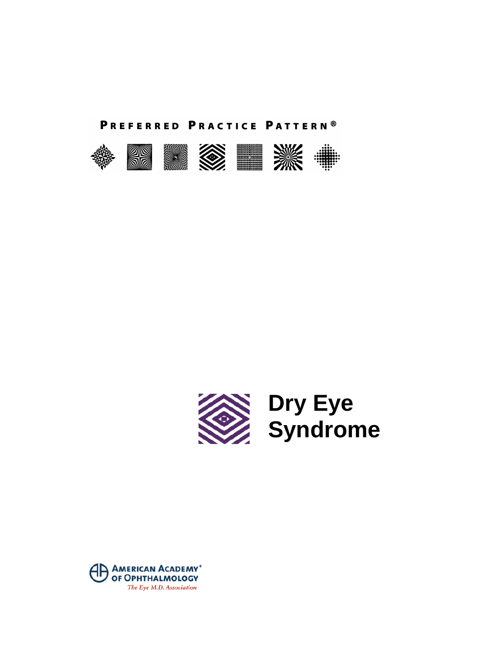PREFERRED PRACTICE PATTERN®





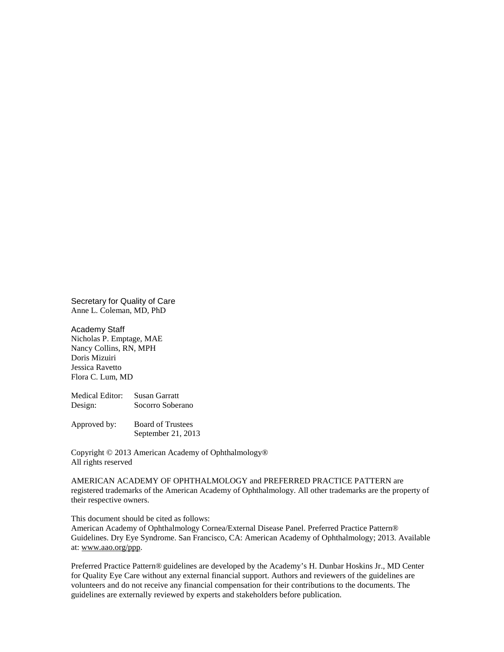Secretary for Quality of Care Anne L. Coleman, MD, PhD

Academy Staff Nicholas P. Emptage, MAE Nancy Collins, RN, MPH Doris Mizuiri Jessica Ravetto Flora C. Lum, MD

| <b>Medical Editor:</b> | Susan Garratt    |
|------------------------|------------------|
| Design:                | Socorro Soberano |

Approved by: Board of Trustees September 21, 2013

Copyright © 2013 American Academy of Ophthalmology® All rights reserved

AMERICAN ACADEMY OF OPHTHALMOLOGY and PREFERRED PRACTICE PATTERN are registered trademarks of the American Academy of Ophthalmology. All other trademarks are the property of their respective owners.

This document should be cited as follows:

American Academy of Ophthalmology Cornea/External Disease Panel. Preferred Practice Pattern® Guidelines. Dry Eye Syndrome. San Francisco, CA: American Academy of Ophthalmology; 2013. Available at: www.aao.org/ppp.

Preferred Practice Pattern® guidelines are developed by the Academy's H. Dunbar Hoskins Jr., MD Center for Quality Eye Care without any external financial support. Authors and reviewers of the guidelines are volunteers and do not receive any financial compensation for their contributions to the documents. The guidelines are externally reviewed by experts and stakeholders before publication.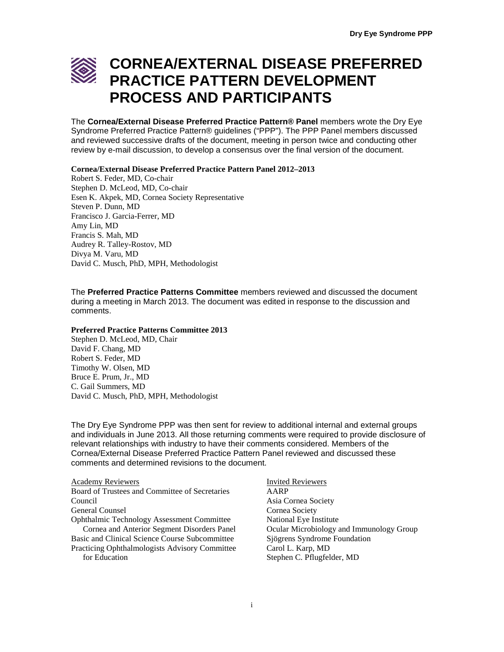### **CORNEA/EXTERNAL DISEASE PREFERRED PRACTICE PATTERN DEVELOPMENT PROCESS AND PARTICIPANTS**

The **Cornea/External Disease Preferred Practice Pattern® Panel** members wrote the Dry Eye Syndrome Preferred Practice Pattern® guidelines ("PPP"). The PPP Panel members discussed and reviewed successive drafts of the document, meeting in person twice and conducting other review by e-mail discussion, to develop a consensus over the final version of the document.

#### **Cornea/External Disease Preferred Practice Pattern Panel 2012–2013**

Robert S. Feder, MD, Co-chair Stephen D. McLeod, MD, Co-chair Esen K. Akpek, MD, Cornea Society Representative Steven P. Dunn, MD Francisco J. Garcia-Ferrer, MD Amy Lin, MD Francis S. Mah, MD Audrey R. Talley-Rostov, MD Divya M. Varu, MD David C. Musch, PhD, MPH, Methodologist

The **Preferred Practice Patterns Committee** members reviewed and discussed the document during a meeting in March 2013. The document was edited in response to the discussion and comments.

#### **Preferred Practice Patterns Committee 2013**

Stephen D. McLeod, MD, Chair David F. Chang, MD Robert S. Feder, MD Timothy W. Olsen, MD Bruce E. Prum, Jr., MD C. Gail Summers, MD David C. Musch, PhD, MPH, Methodologist

The Dry Eye Syndrome PPP was then sent for review to additional internal and external groups and individuals in June 2013. All those returning comments were required to provide disclosure of relevant relationships with industry to have their comments considered. Members of the Cornea/External Disease Preferred Practice Pattern Panel reviewed and discussed these comments and determined revisions to the document.

Academy Reviewers Board of Trustees and Committee of Secretaries Council General Counsel Ophthalmic Technology Assessment Committee Cornea and Anterior Segment Disorders Panel Basic and Clinical Science Course Subcommittee Practicing Ophthalmologists Advisory Committee for Education

Invited Reviewers AARP Asia Cornea Society Cornea Society National Eye Institute Ocular Microbiology and Immunology Group Sjögrens Syndrome Foundation Carol L. Karp, MD Stephen C. Pflugfelder, MD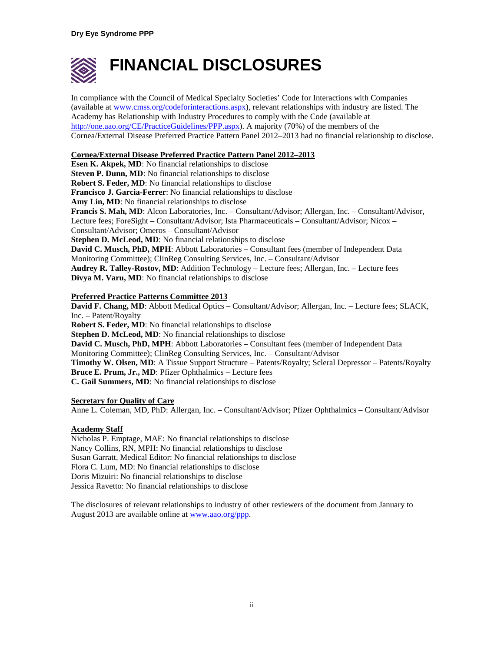## **FINANCIAL DISCLOSURES**

In compliance with the Council of Medical Specialty Societies' Code for Interactions with Companies (available at [www.cmss.org/codeforinteractions.aspx\)](http://www.cmss.org/codeforinteractions.aspx), relevant relationships with industry are listed. The Academy has Relationship with Industry Procedures to comply with the Code (available at [http://one.aao.org/CE/PracticeGuidelines/PPP.aspx\)](http://one.aao.org/CE/PracticeGuidelines/PPP.aspx). A majority (70%) of the members of the Cornea/External Disease Preferred Practice Pattern Panel 2012–2013 had no financial relationship to disclose.

#### **Cornea/External Disease Preferred Practice Pattern Panel 2012–2013**

**Esen K. Akpek, MD**: No financial relationships to disclose **Steven P. Dunn, MD**: No financial relationships to disclose **Robert S. Feder, MD**: No financial relationships to disclose **Francisco J. Garcia-Ferrer**: No financial relationships to disclose **Amy Lin, MD**: No financial relationships to disclose **Francis S. Mah, MD**: Alcon Laboratories, Inc. – Consultant/Advisor; Allergan, Inc. – Consultant/Advisor, Lecture fees; ForeSight – Consultant/Advisor; Ista Pharmaceuticals – Consultant/Advisor; Nicox – Consultant/Advisor; Omeros – Consultant/Advisor **Stephen D. McLeod, MD**: No financial relationships to disclose **David C. Musch, PhD, MPH**: Abbott Laboratories – Consultant fees (member of Independent Data Monitoring Committee); ClinReg Consulting Services, Inc. – Consultant/Advisor **Audrey R. Talley-Rostov, MD**: Addition Technology – Lecture fees; Allergan, Inc. – Lecture fees **Divya M. Varu, MD**: No financial relationships to disclose

#### **Preferred Practice Patterns Committee 2013**

**David F. Chang, MD**: Abbott Medical Optics – Consultant/Advisor; Allergan, Inc. – Lecture fees; SLACK, Inc. – Patent/Royalty **Robert S. Feder, MD**: No financial relationships to disclose **Stephen D. McLeod, MD**: No financial relationships to disclose **David C. Musch, PhD, MPH**: Abbott Laboratories – Consultant fees (member of Independent Data Monitoring Committee); ClinReg Consulting Services, Inc. – Consultant/Advisor **Timothy W. Olsen, MD**: A Tissue Support Structure – Patents/Royalty; Scleral Depressor – Patents/Royalty **Bruce E. Prum, Jr., MD**: Pfizer Ophthalmics – Lecture fees

**C. Gail Summers, MD**: No financial relationships to disclose

#### **Secretary for Quality of Care**

Anne L. Coleman, MD, PhD: Allergan, Inc. – Consultant/Advisor; Pfizer Ophthalmics – Consultant/Advisor

#### **Academy Staff**

Nicholas P. Emptage, MAE: No financial relationships to disclose Nancy Collins, RN, MPH: No financial relationships to disclose Susan Garratt, Medical Editor: No financial relationships to disclose Flora C. Lum, MD: No financial relationships to disclose Doris Mizuiri: No financial relationships to disclose Jessica Ravetto: No financial relationships to disclose

The disclosures of relevant relationships to industry of other reviewers of the document from January to August 2013 are available online at [www.aao.org/ppp.](http://www.aao.org/ppp)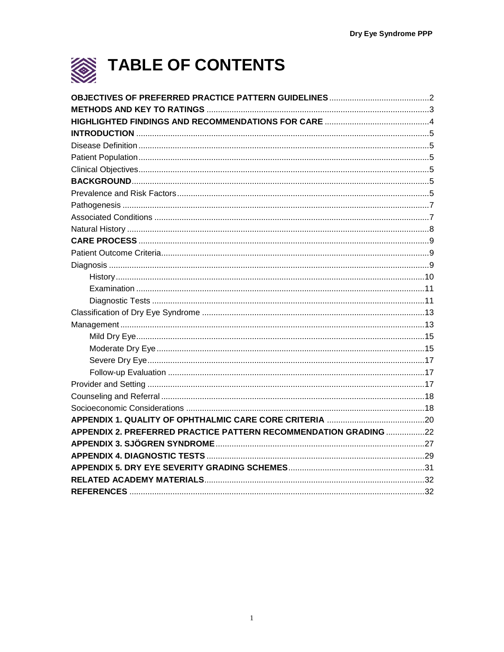

| APPENDIX 2. PREFERRED PRACTICE PATTERN RECOMMENDATION GRADING 22 |  |
|------------------------------------------------------------------|--|
|                                                                  |  |
|                                                                  |  |
|                                                                  |  |
|                                                                  |  |
|                                                                  |  |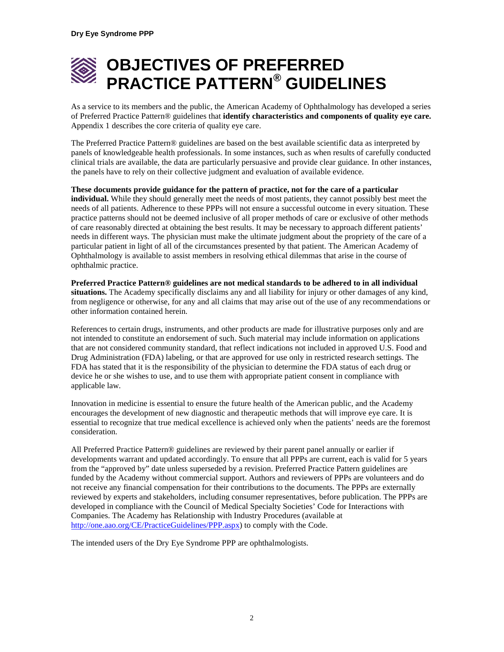### **OBJECTIVES OF PREFERRED PRACTICE PATTERN® GUIDELINES**

As a service to its members and the public, the American Academy of Ophthalmology has developed a series of Preferred Practice Pattern® guidelines that **identify characteristics and components of quality eye care.**  Appendix 1 describes the core criteria of quality eye care.

The Preferred Practice Pattern® guidelines are based on the best available scientific data as interpreted by panels of knowledgeable health professionals. In some instances, such as when results of carefully conducted clinical trials are available, the data are particularly persuasive and provide clear guidance. In other instances, the panels have to rely on their collective judgment and evaluation of available evidence.

**These documents provide guidance for the pattern of practice, not for the care of a particular individual.** While they should generally meet the needs of most patients, they cannot possibly best meet the needs of all patients. Adherence to these PPPs will not ensure a successful outcome in every situation. These practice patterns should not be deemed inclusive of all proper methods of care or exclusive of other methods of care reasonably directed at obtaining the best results. It may be necessary to approach different patients' needs in different ways. The physician must make the ultimate judgment about the propriety of the care of a particular patient in light of all of the circumstances presented by that patient. The American Academy of Ophthalmology is available to assist members in resolving ethical dilemmas that arise in the course of ophthalmic practice.

**Preferred Practice Pattern® guidelines are not medical standards to be adhered to in all individual situations.** The Academy specifically disclaims any and all liability for injury or other damages of any kind, from negligence or otherwise, for any and all claims that may arise out of the use of any recommendations or other information contained herein.

References to certain drugs, instruments, and other products are made for illustrative purposes only and are not intended to constitute an endorsement of such. Such material may include information on applications that are not considered community standard, that reflect indications not included in approved U.S. Food and Drug Administration (FDA) labeling, or that are approved for use only in restricted research settings. The FDA has stated that it is the responsibility of the physician to determine the FDA status of each drug or device he or she wishes to use, and to use them with appropriate patient consent in compliance with applicable law.

Innovation in medicine is essential to ensure the future health of the American public, and the Academy encourages the development of new diagnostic and therapeutic methods that will improve eye care. It is essential to recognize that true medical excellence is achieved only when the patients' needs are the foremost consideration.

All Preferred Practice Pattern® guidelines are reviewed by their parent panel annually or earlier if developments warrant and updated accordingly. To ensure that all PPPs are current, each is valid for 5 years from the "approved by" date unless superseded by a revision. Preferred Practice Pattern guidelines are funded by the Academy without commercial support. Authors and reviewers of PPPs are volunteers and do not receive any financial compensation for their contributions to the documents. The PPPs are externally reviewed by experts and stakeholders, including consumer representatives, before publication. The PPPs are developed in compliance with the Council of Medical Specialty Societies' Code for Interactions with Companies. The Academy has Relationship with Industry Procedures (available at [http://one.aao.org/CE/PracticeGuidelines/PPP.aspx\)](http://one.aao.org/CE/PracticeGuidelines/PPP.aspx) to comply with the Code.

The intended users of the Dry Eye Syndrome PPP are ophthalmologists.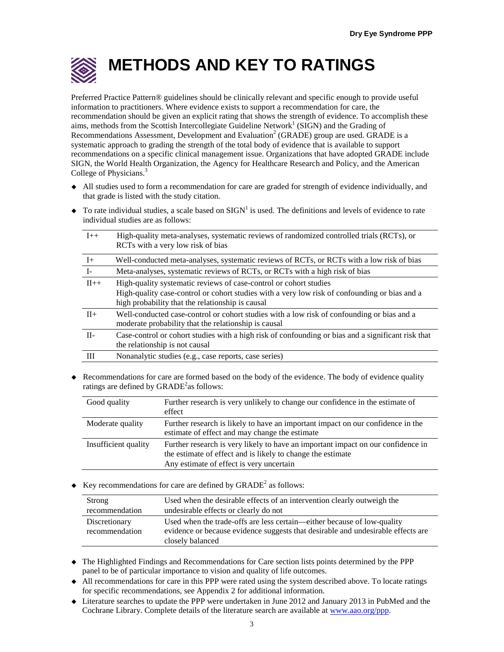# **METHODS AND KEY TO RATINGS**

Preferred Practice Pattern® guidelines should be clinically relevant and specific enough to provide useful information to practitioners. Where evidence exists to support a recommendation for care, the recommendation should be given an explicit rating that shows the strength of evidence. To accomplish these aims, methods from the Scottish Intercollegiate Guideline Networ[k](#page-35-0)<sup>1</sup> (SIGN) and the Grading of Recommendations Assessment, Development and Evaluation<sup>2</sup> (GRADE) group are used. GRADE is a systematic approach to grading the strength of the total body of evidence that is available to support recommendations on a specific clinical management issue. Organizations that have adopted GRADE include SIGN, the World Health Organization, the Agency for Healthcare Research and Policy, and the American College of Physicians[.](#page-35-2)<sup>3</sup>

- All studies used to form a recommendation for care are graded for strength of evidence individually, and that grade is listed with the study citation.
- $\bullet$  To rate individual studies, a scale based on SIG[N](#page-35-0)<sup>1</sup> is used. The definitions and levels of evidence to rate individual studies are as follows:

| $I++$        | High-quality meta-analyses, systematic reviews of randomized controlled trials (RCTs), or<br>RCTs with a very low risk of bias                                                                                         |
|--------------|------------------------------------------------------------------------------------------------------------------------------------------------------------------------------------------------------------------------|
| $I+$         | Well-conducted meta-analyses, systematic reviews of RCTs, or RCTs with a low risk of bias                                                                                                                              |
| $\mathbf{I}$ | Meta-analyses, systematic reviews of RCTs, or RCTs with a high risk of bias                                                                                                                                            |
| $II++$       | High-quality systematic reviews of case-control or cohort studies<br>High-quality case-control or cohort studies with a very low risk of confounding or bias and a<br>high probability that the relationship is causal |
| $II+$        | Well-conducted case-control or cohort studies with a low risk of confounding or bias and a<br>moderate probability that the relationship is causal                                                                     |
| $II-$        | Case-control or cohort studies with a high risk of confounding or bias and a significant risk that<br>the relationship is not causal                                                                                   |
| Ш            | Nonanalytic studies (e.g., case reports, case series)                                                                                                                                                                  |

 Recommendations for care are formed based on the body of the evidence. The body of evidence quality ratings are defined by  $\text{GRADE}^2$  $\text{GRADE}^2$  $\text{GRADE}^2$ as follows:

| Good quality         | Further research is very unlikely to change our confidence in the estimate of<br>effect                                                                                                     |
|----------------------|---------------------------------------------------------------------------------------------------------------------------------------------------------------------------------------------|
| Moderate quality     | Further research is likely to have an important impact on our confidence in the<br>estimate of effect and may change the estimate                                                           |
| Insufficient quality | Further research is very likely to have an important impact on our confidence in<br>the estimate of effect and is likely to change the estimate<br>Any estimate of effect is very uncertain |

 $\blacklozenge$  Key recommendations for care are defined by GRADE<sup>[2](#page-35-1)</sup> as follows:

| Strong                          | Used when the desirable effects of an intervention clearly outweigh the                                                                                                         |
|---------------------------------|---------------------------------------------------------------------------------------------------------------------------------------------------------------------------------|
| recommendation                  | undesirable effects or clearly do not                                                                                                                                           |
| Discretionary<br>recommendation | Used when the trade-offs are less certain—either because of low-quality<br>evidence or because evidence suggests that desirable and undesirable effects are<br>closely balanced |

- The Highlighted Findings and Recommendations for Care section lists points determined by the PPP panel to be of particular importance to vision and quality of life outcomes.
- All recommendations for care in this PPP were rated using the system described above. To locate ratings for specific recommendations, see Appendix 2 for additional information.
- Literature searches to update the PPP were undertaken in June 2012 and January 2013 in PubMed and the Cochrane Library. Complete details of the literature search are available at [www.aao.org/ppp.](http://www.aao.org/ppp)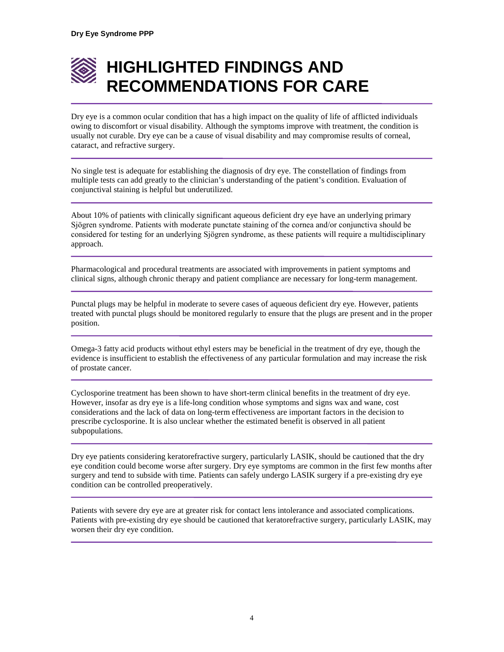### **HIGHLIGHTED FINDINGS AND RECOMMENDATIONS FOR CARE**

Dry eye is a common ocular condition that has a high impact on the quality of life of afflicted individuals owing to discomfort or visual disability. Although the symptoms improve with treatment, the condition is usually not curable. Dry eye can be a cause of visual disability and may compromise results of corneal, cataract, and refractive surgery.

No single test is adequate for establishing the diagnosis of dry eye. The constellation of findings from multiple tests can add greatly to the clinician's understanding of the patient's condition. Evaluation of conjunctival staining is helpful but underutilized.

About 10% of patients with clinically significant aqueous deficient dry eye have an underlying primary Sjögren syndrome. Patients with moderate punctate staining of the cornea and/or conjunctiva should be considered for testing for an underlying Sjögren syndrome, as these patients will require a multidisciplinary approach.

Pharmacological and procedural treatments are associated with improvements in patient symptoms and clinical signs, although chronic therapy and patient compliance are necessary for long-term management.

Punctal plugs may be helpful in moderate to severe cases of aqueous deficient dry eye. However, patients treated with punctal plugs should be monitored regularly to ensure that the plugs are present and in the proper position.

Omega-3 fatty acid products without ethyl esters may be beneficial in the treatment of dry eye, though the evidence is insufficient to establish the effectiveness of any particular formulation and may increase the risk of prostate cancer.

Cyclosporine treatment has been shown to have short-term clinical benefits in the treatment of dry eye. However, insofar as dry eye is a life-long condition whose symptoms and signs wax and wane, cost considerations and the lack of data on long-term effectiveness are important factors in the decision to prescribe cyclosporine. It is also unclear whether the estimated benefit is observed in all patient subpopulations.

Dry eye patients considering keratorefractive surgery, particularly LASIK, should be cautioned that the dry eye condition could become worse after surgery. Dry eye symptoms are common in the first few months after surgery and tend to subside with time. Patients can safely undergo LASIK surgery if a pre-existing dry eye condition can be controlled preoperatively.

Patients with severe dry eye are at greater risk for contact lens intolerance and associated complications. Patients with pre-existing dry eye should be cautioned that keratorefractive surgery, particularly LASIK, may worsen their dry eye condition.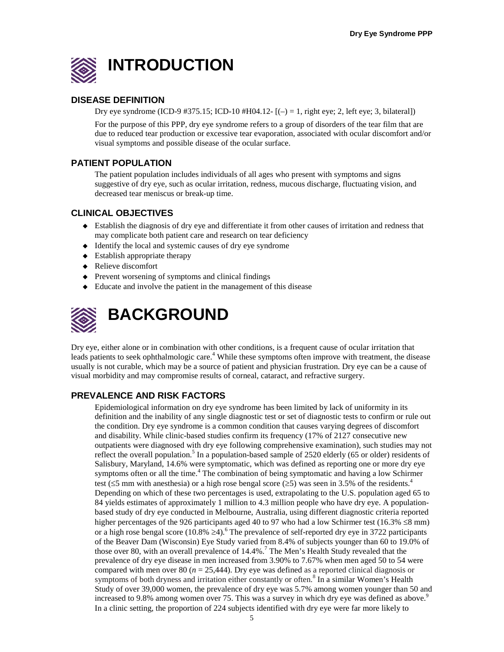

#### **DISEASE DEFINITION**

Dry eye syndrome (ICD-9 #375.15; ICD-10 #H04.12- $[(-) = 1$ , right eye; 2, left eye; 3, bilateral])

For the purpose of this PPP, dry eye syndrome refers to a group of disorders of the tear film that are due to reduced tear production or excessive tear evaporation, associated with ocular discomfort and/or visual symptoms and possible disease of the ocular surface.

#### **PATIENT POPULATION**

The patient population includes individuals of all ages who present with symptoms and signs suggestive of dry eye, such as ocular irritation, redness, mucous discharge, fluctuating vision, and decreased tear meniscus or break-up time.

#### **CLINICAL OBJECTIVES**

- Establish the diagnosis of dry eye and differentiate it from other causes of irritation and redness that may complicate both patient care and research on tear deficiency
- $\triangleleft$  Identify the local and systemic causes of dry eye syndrome
- $\triangleleft$  Establish appropriate therapy
- ◆ Relieve discomfort
- Prevent worsening of symptoms and clinical findings
- Educate and involve the patient in the management of this disease



Dry eye, either alone or in combination with other conditions, is a frequent cause of ocular irritation that leads patients to seek ophthalmologic care[.](#page-35-3)<sup>4</sup> While these symptoms often improve with treatment, the disease usually is not curable, which may be a source of patient and physician frustration. Dry eye can be a cause of visual morbidity and may compromise results of corneal, cataract, and refractive surgery.

#### **PREVALENCE AND RISK FACTORS**

Epidemiological information on dry eye syndrome has been limited by lack of uniformity in its definition and the inability of any single diagnostic test or set of diagnostic tests to confirm or rule out the condition. Dry eye syndrome is a common condition that causes varying degrees of discomfort and disability. While clinic-based studies confirm its frequency (17% of 2127 consecutive new outpatients were diagnosed with dry eye following comprehensive examination), such studies may not reflect the overall population[.](#page-35-4)<sup>5</sup> In a population-based sample of 2520 elderly (65 or older) residents of Salisbury, Maryland, 14.6% were symptomatic, which was defined as reporting one or more dry eye symptoms often or all the time[.](#page-35-3)<sup>4</sup> The combination of being symptomatic and having a low Schirmer test ( $\leq$ 5 mm with anesthesia) or a high rose bengal score ( $\geq$ 5) was seen in 3[.](#page-35-3)5% of the residents.<sup>4</sup> Depending on which of these two percentages is used, extrapolating to the U.S. population aged 65 to 84 yields estimates of approximately 1 million to 4.3 million people who have dry eye. A populationbased study of dry eye conducted in Melbourne, Australia, using different diagnostic criteria reported higher percentages of the 926 participants aged 40 to 97 who had a low Schirmer test (16.3%  $\leq$ 8 mm) or a high rose bengal score (10[.](#page-35-5)8%  $\geq$ 4).<sup>6</sup> The prevalence of self-reported dry eye in 3722 participants of the Beaver Dam (Wisconsin) Eye Study varied from 8.4% of subjects younger than 60 to 19.0% of those over 80, with an overall prevalence of  $14.4\%$  $14.4\%$  $14.4\%$ .<sup>7</sup> The Men's Health Study revealed that the prevalence of dry eye disease in men increased from 3.90% to 7.67% when men aged 50 to 54 were compared with men over 80 (*n* = 25,444). Dry eye was defined as a reported clinical diagnosis or symptoms of both dryness and irritation either constantly or often.<sup>[8](#page-35-7)</sup> In a similar Women's Health Study of over 39,000 women, the prevalence of dry eye was 5.7% among women younger than 50 and increased to 9.8% among women over 75. This was a survey in which dry eye was defined as abov[e.](#page-35-8)<sup>9</sup> In a clinic setting, the proportion of 224 subjects identified with dry eye were far more likely to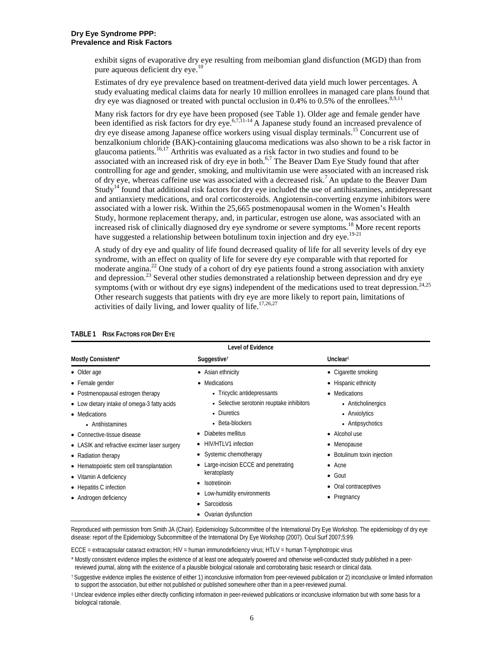exhibit signs of evaporative dry eye resulting from meibomian gland disfunction (MGD) than from pure aqueous deficient dry eye.<sup>[10](#page-35-9)</sup>

Estimates of dry eye prevalence based on treatment-derived data yield much lower percentages. A study evaluating medical claims data for nearly 10 million enrollees in managed care plans found that dry eye was diagnosed or treated with punctal occlusion in 0.4% to 0.5% of the enrollees.<sup>[8,](#page-35-7)[9,](#page-35-8)[11](#page-35-10)</sup>

Many risk factors for dry eye have been proposed (see Table 1). Older age and female gender have been identified as risk factors for dry eye.<sup>[6,](#page-35-5)[7,](#page-35-6)[11-14](#page-35-10)</sup> A Japanese study found an increased prevalence of dry eye disease among Japanese office workers using visual display terminals.[15](#page-36-0) Concurrent use of benzalkonium chloride (BAK)-containing glaucoma medications was also shown to be a risk factor in glaucoma patients.[16,](#page-36-1)[17](#page-36-2) Arthritis was evaluated as a risk factor in two studies and found to be associated with an increased risk of dry eye in both.<sup>[6,](#page-35-5)[7](#page-35-6)</sup> The Beaver Dam Eye Study found that after controlling for age and gender, smoking, and multivitamin use were associated with an increased risk of dry eye, whereas caffeine use was associated with a decreased risk.[7](#page-35-6) An update to the Beaver Dam Stud[y14](#page-36-3) found that additional risk factors for dry eye included the use of antihistamines, antidepressant and antianxiety medications, and oral corticosteroids. Angiotensin-converting enzyme inhibitors were associated with a lower risk. Within the 25,665 postmenopausal women in the Women's Health Study, hormone replacement therapy, and, in particular, estrogen use alone, was associated with an increased risk of clinically diagnosed dry eye syndrome or severe symptoms.<sup>[18](#page-36-4)</sup> More recent reports have suggested a relationship between botulinum toxin injection and dry eve.<sup>[19-21](#page-36-5)</sup>

A study of dry eye and quality of life found decreased quality of life for all severity levels of dry eye syndrome, with an effect on quality of life for severe dry eye comparable with that reported for moderate angina.<sup>[22](#page-36-6)</sup> One study of a cohort of dry eye patients found a strong association with anxiety and depression.<sup>[23](#page-36-7)</sup> Several other studies demonstrated a relationship between depression and dry eye symptoms (with or without dry eye signs) independent of the medications used to treat depression.<sup>[24,](#page-36-8)[25](#page-36-9)</sup> Other research suggests that patients with dry eye are more likely to report pain, limitations of activities of daily living, and lower quality of life.<sup>[17,](#page-36-2)[26,](#page-36-10)[27](#page-36-11)</sup>

|                                                                                                                                                                                                                               | <b>Level of Evidence</b>                                                                                                                                                                                                |                                                                                                                                                    |
|-------------------------------------------------------------------------------------------------------------------------------------------------------------------------------------------------------------------------------|-------------------------------------------------------------------------------------------------------------------------------------------------------------------------------------------------------------------------|----------------------------------------------------------------------------------------------------------------------------------------------------|
| Mostly Consistent*                                                                                                                                                                                                            | Suggestive <sup>t</sup>                                                                                                                                                                                                 | Unclear <sup>#</sup>                                                                                                                               |
| • Older age<br>• Female gender<br>• Postmenopausal estrogen therapy<br>• Low dietary intake of omega-3 fatty acids<br>• Medications<br>• Antihistamines                                                                       | • Asian ethnicity<br>• Medications<br>• Tricyclic antidepressants<br>• Selective serotonin reuptake inhibitors<br>• Diuretics<br>• Beta-blockers                                                                        | • Cigarette smoking<br>• Hispanic ethnicity<br>Medications<br>$\bullet$<br>• Anticholinergics<br>• Anxiolytics<br>• Antipsychotics                 |
| • Connective-tissue disease<br>• LASIK and refractive excimer laser surgery<br>• Radiation therapy<br>• Hematopoietic stem cell transplantation<br>• Vitamin A deficiency<br>• Hepatitis C infection<br>• Androgen deficiency | Diabetes mellitus<br>٠<br>HIV/HTLV1 infection<br>• Systemic chemotherapy<br>Large-incision ECCE and penetrating<br>keratoplasty<br>Isotretinoin<br>٠<br>Low-humidity environments<br>Sarcoidosis<br>Ovarian dysfunction | • Alcohol use<br>• Menopause<br>Botulinum toxin injection<br>$\bullet$<br>$\bullet$ Acne<br>$\bullet$ Gout<br>• Oral contraceptives<br>• Pregnancy |

#### **TABLE 1 RISK FACTORS FOR DRY EYE**

Reproduced with permission from Smith JA (Chair). Epidemiology Subcommittee of the International Dry Eye Workshop. The epidemiology of dry eye disease: report of the Epidemiology Subcommittee of the International Dry Eye Workshop (2007). Ocul Surf 2007;5:99.

ECCE = extracapsular cataract extraction; HIV = human immunodeficiency virus; HTLV = human T-lymphotropic virus

\* Mostly consistent evidence implies the existence of at least one adequately powered and otherwise well-conducted study published in a peerreviewed journal, along with the existence of a plausible biological rationale and corroborating basic research or clinical data.

† Suggestive evidence implies the existence of either 1) inconclusive information from peer-reviewed publication or 2) inconclusive or limited information to support the association, but either not published or published somewhere other than in a peer-reviewed journal.

‡ Unclear evidence implies either directly conflicting information in peer-reviewed publications or inconclusive information but with some basis for a biological rationale.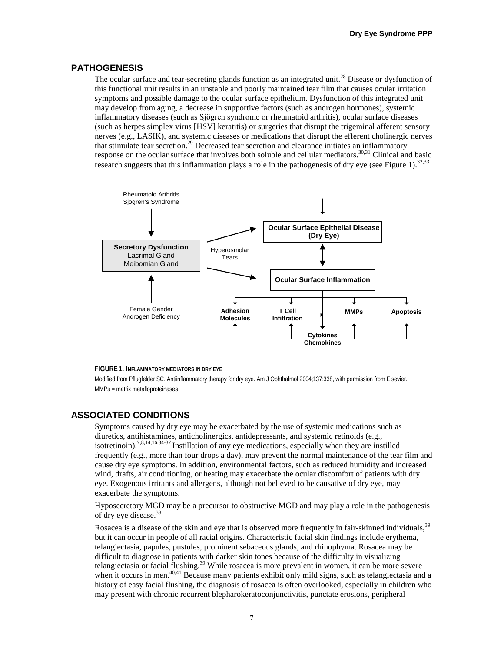#### **PATHOGENESIS**

The ocular surface and tear-secreting glands function as an integrated unit.<sup>[28](#page-36-12)</sup> Disease or dysfunction of this functional unit results in an unstable and poorly maintained tear film that causes ocular irritation symptoms and possible damage to the ocular surface epithelium. Dysfunction of this integrated unit may develop from aging, a decrease in supportive factors (such as androgen hormones), systemic inflammatory diseases (such as Sjӧgren syndrome or rheumatoid arthritis), ocular surface diseases (such as herpes simplex virus [HSV] keratitis) or surgeries that disrupt the trigeminal afferent sensory nerves (e.g., LASIK), and systemic diseases or medications that disrupt the efferent cholinergic nerves that stimulate tear secretion.[29](#page-36-13) Decreased tear secretion and clearance initiates an inflammatory response on the ocular surface that involves both soluble and cellular mediators.<sup>[30,](#page-36-14)[31](#page-36-15)</sup> Clinical and basic research suggests that this inflammation plays a role in the pathogenesis of dry eye (see Figure 1).<sup>[32,](#page-36-16)[33](#page-36-17)</sup>



#### **FIGURE 1. INFLAMMATORY MEDIATORS IN DRY EYE**

Modified from Pflugfelder SC. Antiinflammatory therapy for dry eye. Am J Ophthalmol 2004;137:338, with permission from Elsevier. MMPs = matrix metalloproteinases

#### **ASSOCIATED CONDITIONS**

Symptoms caused by dry eye may be exacerbated by the use of systemic medications such as diuretics, antihistamines, anticholinergics, antidepressants, and systemic retinoids (e.g., isotretinoin).[7,](#page-35-6)[8,](#page-35-7)[14,](#page-36-3)[16,](#page-36-1)[34-37](#page-36-18) Instillation of any eye medications, especially when they are instilled frequently (e.g., more than four drops a day), may prevent the normal maintenance of the tear film and cause dry eye symptoms. In addition, environmental factors, such as reduced humidity and increased wind, drafts, air conditioning, or heating may exacerbate the ocular discomfort of patients with dry eye. Exogenous irritants and allergens, although not believed to be causative of dry eye, may exacerbate the symptoms.

Hyposecretory MGD may be a precursor to obstructive MGD and may play a role in the pathogenesis of dry eye disease.<sup>[38](#page-36-19)</sup>

Rosacea is a disease of the skin and eye that is observed more frequently in fair-skinned individuals,<sup>[39](#page-36-20)</sup> but it can occur in people of all racial origins. Characteristic facial skin findings include erythema, telangiectasia, papules, pustules, prominent sebaceous glands, and rhinophyma. Rosacea may be difficult to diagnose in patients with darker skin tones because of the difficulty in visualizing telangiectasia or facial flushing.<sup>[39](#page-36-20)</sup> While rosacea is more prevalent in women, it can be more severe when it occurs in men.<sup>[40,](#page-37-0)[41](#page-37-1)</sup> Because many patients exhibit only mild signs, such as telangiectasia and a history of easy facial flushing, the diagnosis of rosacea is often overlooked, especially in children who may present with chronic recurrent blepharokeratoconjunctivitis, punctate erosions, peripheral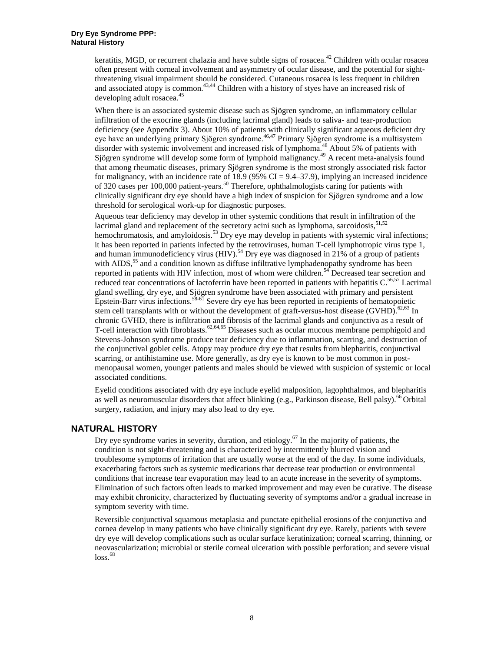keratitis, MGD, or recurrent chalazia and have subtle signs of rosacea.<sup>[42](#page-37-2)</sup> Children with ocular rosacea often present with corneal involvement and asymmetry of ocular disease, and the potential for sightthreatening visual impairment should be considered. Cutaneous rosacea is less frequent in children and associated atopy is common.<sup>[43,](#page-37-3)[44](#page-37-4)</sup> Children with a history of styes have an increased risk of developing adult rosacea.<sup>[45](#page-37-5)</sup>

When there is an associated systemic disease such as Sjögren syndrome, an inflammatory cellular infiltration of the exocrine glands (including lacrimal gland) leads to saliva- and tear-production deficiency (see Appendix 3). About 10% of patients with clinically significant aqueous deficient dry eye have an underlying primary Sjögren syndrome.<sup>[46,](#page-37-6)[47](#page-37-7)</sup> Primary Sjögren syndrome is a multisystem disorder with systemic involvement and increased risk of lymphoma. [48](#page-37-8) About 5% of patients with Sjögren syndrome will develop some form of lymphoid malignancy.[49](#page-37-9) A recent meta-analysis found that among rheumatic diseases, primary Sjögren syndrome is the most strongly associated risk factor for malignancy, with an incidence rate of 18.9 (95% CI = 9.4–37.9), implying an increased incidence of 320 cases per 100,000 patient-years.<sup>[50](#page-37-10)</sup> Therefore, ophthalmologists caring for patients with clinically significant dry eye should have a high index of suspicion for Sjӧgren syndrome and a low threshold for serological work-up for diagnostic purposes.

Aqueous tear deficiency may develop in other systemic conditions that result in infiltration of the lacrimal gland and replacement of the secretory acini such as lymphoma, sarcoidosis,  $51,52$  $51,52$ hemochromatosis, and amyloidosis.<sup>[53](#page-37-13)</sup> Dry eye may develop in patients with systemic viral infections; it has been reported in patients infected by the retroviruses, human T-cell lymphotropic virus type 1, and human immunodeficiency virus  $(HIV)$ .<sup>[54](#page-37-14)</sup> Dry eye was diagnosed in 21% of a group of patients with AIDS,<sup>[55](#page-37-15)</sup> and a condition known as diffuse infiltrative lymphadenopathy syndrome has been reported in patients with HIV infection, most of whom were children.<sup>[54](#page-37-14)</sup> Decreased tear secretion and reduced tear concentrations of lactoferrin have been reported in patients with hepatitis C.<sup>[56,](#page-37-16)[57](#page-37-17)</sup> Lacrimal gland swelling, dry eye, and Sjögren syndrome have been associated with primary and persistent Epstein-Barr virus infections.<sup>[58-61](#page-37-18)</sup> Severe dry eye has been reported in recipients of hematopoietic stem cell transplants with or without the development of graft-versus-host disease (GVHD).<sup>[62,](#page-37-19)[63](#page-37-20)</sup> In chronic GVHD, there is infiltration and fibrosis of the lacrimal glands and conjunctiva as a result of T-cell interaction with fibroblasts.<sup>[62,](#page-37-19)[64,](#page-37-21)[65](#page-37-22)</sup> Diseases such as ocular mucous membrane pemphigoid and Stevens-Johnson syndrome produce tear deficiency due to inflammation, scarring, and destruction of the conjunctival goblet cells. Atopy may produce dry eye that results from blepharitis, conjunctival scarring, or antihistamine use. More generally, as dry eye is known to be most common in postmenopausal women, younger patients and males should be viewed with suspicion of systemic or local associated conditions.

Eyelid conditions associated with dry eye include eyelid malposition, lagophthalmos, and blepharitis as well as neuromuscular disorders that affect blinking (e.g., Parkinson disease, Bell palsy).<sup>[66](#page-37-23)</sup> Orbital surgery, radiation, and injury may also lead to dry eye.

#### **NATURAL HISTORY**

Dry eye syndrome varies in severity, duration, and etiology.<sup>[67](#page-38-0)</sup> In the majority of patients, the condition is not sight-threatening and is characterized by intermittently blurred vision and troublesome symptoms of irritation that are usually worse at the end of the day. In some individuals, exacerbating factors such as systemic medications that decrease tear production or environmental conditions that increase tear evaporation may lead to an acute increase in the severity of symptoms. Elimination of such factors often leads to marked improvement and may even be curative. The disease may exhibit chronicity, characterized by fluctuating severity of symptoms and/or a gradual increase in symptom severity with time.

Reversible conjunctival squamous metaplasia and punctate epithelial erosions of the conjunctiva and cornea develop in many patients who have clinically significant dry eye. Rarely, patients with severe dry eye will develop complications such as ocular surface keratinization; corneal scarring, thinning, or neovascularization; microbial or sterile corneal ulceration with possible perforation; and severe visual  $loss.<sup>68</sup>$  $loss.<sup>68</sup>$  $loss.<sup>68</sup>$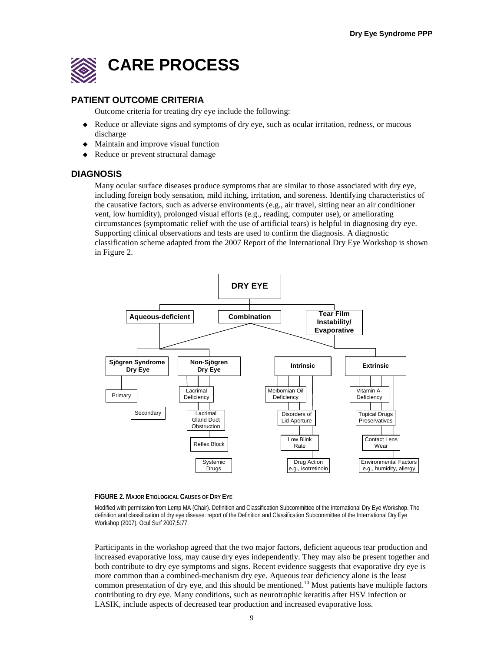

#### **PATIENT OUTCOME CRITERIA**

Outcome criteria for treating dry eye include the following:

- Reduce or alleviate signs and symptoms of dry eye, such as ocular irritation, redness, or mucous discharge
- Maintain and improve visual function
- Reduce or prevent structural damage

#### **DIAGNOSIS**

Many ocular surface diseases produce symptoms that are similar to those associated with dry eye, including foreign body sensation, mild itching, irritation, and soreness. Identifying characteristics of the causative factors, such as adverse environments (e.g., air travel, sitting near an air conditioner vent, low humidity), prolonged visual efforts (e.g., reading, computer use), or ameliorating circumstances (symptomatic relief with the use of artificial tears) is helpful in diagnosing dry eye. Supporting clinical observations and tests are used to confirm the diagnosis. A diagnostic classification scheme adapted from the 2007 Report of the International Dry Eye Workshop is shown in Figure 2.



#### **FIGURE 2. MAJOR ETIOLOGICAL CAUSES OF DRY EYE**

Modified with permission from Lemp MA (Chair). Definition and Classification Subcommittee of the International Dry Eye Workshop. The definition and classification of dry eye disease: report of the Definition and Classification Subcommittee of the International Dry Eye Workshop (2007). Ocul Surf 2007;5:77.

Participants in the workshop agreed that the two major factors, deficient aqueous tear production and increased evaporative loss, may cause dry eyes independently. They may also be present together and both contribute to dry eye symptoms and signs. Recent evidence suggests that evaporative dry eye is more common than a combined-mechanism dry eye. Aqueous tear deficiency alone is the least common presentation of dry eye, and this should be mentioned.<sup>[10](#page-35-9)</sup> Most patients have multiple factors contributing to dry eye. Many conditions, such as neurotrophic keratitis after HSV infection or LASIK, include aspects of decreased tear production and increased evaporative loss.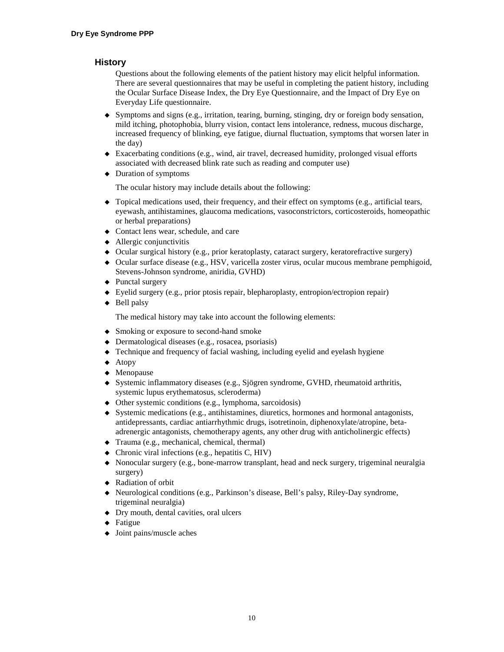#### **History**

Questions about the following elements of the patient history may elicit helpful information. There are several questionnaires that may be useful in completing the patient history, including the Ocular Surface Disease Index, the Dry Eye Questionnaire, and the Impact of Dry Eye on Everyday Life questionnaire.

- $\bullet$  Symptoms and signs (e.g., irritation, tearing, burning, stinging, dry or foreign body sensation, mild itching, photophobia, blurry vision, contact lens intolerance, redness, mucous discharge, increased frequency of blinking, eye fatigue, diurnal fluctuation, symptoms that worsen later in the day)
- Exacerbating conditions (e.g., wind, air travel, decreased humidity, prolonged visual efforts associated with decreased blink rate such as reading and computer use)
- Duration of symptoms

The ocular history may include details about the following:

- $\blacklozenge$  Topical medications used, their frequency, and their effect on symptoms (e.g., artificial tears, eyewash, antihistamines, glaucoma medications, vasoconstrictors, corticosteroids, homeopathic or herbal preparations)
- Contact lens wear, schedule, and care
- $\triangle$  Allergic conjunctivitis
- $\bullet$  Ocular surgical history (e.g., prior keratoplasty, cataract surgery, keratorefractive surgery)
- $\bullet$  Ocular surface disease (e.g., HSV, varicella zoster virus, ocular mucous membrane pemphigoid, Stevens-Johnson syndrome, aniridia, GVHD)
- $\triangle$  Punctal surgery
- $\blacklozenge$  Eyelid surgery (e.g., prior ptosis repair, blepharoplasty, entropion/ectropion repair)
- $\triangleleft$  Bell palsy

The medical history may take into account the following elements:

- $\triangle$  Smoking or exposure to second-hand smoke
- Dermatological diseases (e.g., rosacea, psoriasis)
- Technique and frequency of facial washing, including eyelid and eyelash hygiene
- $\triangle$  Atopy
- ◆ Menopause
- Systemic inflammatory diseases (e.g., Sjögren syndrome, GVHD, rheumatoid arthritis, systemic lupus erythematosus, scleroderma)
- Other systemic conditions (e.g., lymphoma, sarcoidosis)
- $\bullet$  Systemic medications (e.g., antihistamines, diuretics, hormones and hormonal antagonists, antidepressants, cardiac antiarrhythmic drugs, isotretinoin, diphenoxylate/atropine, betaadrenergic antagonists, chemotherapy agents, any other drug with anticholinergic effects)
- Trauma (e.g., mechanical, chemical, thermal)
- $\blacklozenge$  Chronic viral infections (e.g., hepatitis C, HIV)
- $\blacklozenge$  Nonocular surgery (e.g., bone-marrow transplant, head and neck surgery, trigeminal neuralgia surgery)
- ◆ Radiation of orbit
- Neurological conditions (e.g., Parkinson's disease, Bell's palsy, Riley-Day syndrome, trigeminal neuralgia)
- Dry mouth, dental cavities, oral ulcers
- Fatigue
- ◆ Joint pains/muscle aches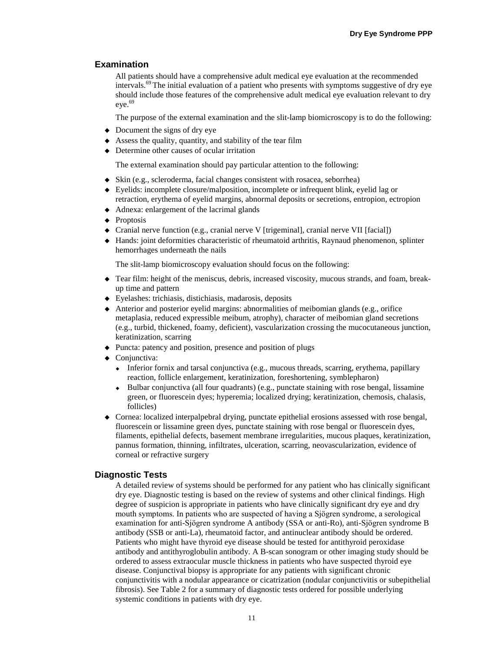#### **Examination**

All patients should have a comprehensive adult medical eye evaluation at the recommended intervals.<sup>[69](#page-38-2)</sup> The initial evaluation of a patient who presents with symptoms suggestive of dry eye should include those features of the comprehensive adult medical eye evaluation relevant to dry  $eye.<sup>69</sup>$  $eye.<sup>69</sup>$  $eye.<sup>69</sup>$ 

The purpose of the external examination and the slit-lamp biomicroscopy is to do the following:

- $\rightarrow$  Document the signs of dry eye
- Assess the quality, quantity, and stability of the tear film
- ◆ Determine other causes of ocular irritation

The external examination should pay particular attention to the following:

- Skin (e.g., scleroderma, facial changes consistent with rosacea, seborrhea)
- Eyelids: incomplete closure/malposition, incomplete or infrequent blink, eyelid lag or retraction, erythema of eyelid margins, abnormal deposits or secretions, entropion, ectropion
- Adnexa: enlargement of the lacrimal glands
- $\leftarrow$  Proptosis
- Cranial nerve function (e.g., cranial nerve V [trigeminal], cranial nerve VII [facial])
- Hands: joint deformities characteristic of rheumatoid arthritis, Raynaud phenomenon, splinter hemorrhages underneath the nails

The slit-lamp biomicroscopy evaluation should focus on the following:

- Tear film: height of the meniscus, debris, increased viscosity, mucous strands, and foam, breakup time and pattern
- Eyelashes: trichiasis, distichiasis, madarosis, deposits
- $\blacklozenge$  Anterior and posterior eyelid margins: abnormalities of meibomian glands (e.g., orifice metaplasia, reduced expressible meibum, atrophy), character of meibomian gland secretions (e.g., turbid, thickened, foamy, deficient), vascularization crossing the mucocutaneous junction, keratinization, scarring
- $\blacklozenge$  Puncta: patency and position, presence and position of plugs
- ◆ Conjunctiva:
	- $\bullet$  Inferior fornix and tarsal conjunctiva (e.g., mucous threads, scarring, erythema, papillary reaction, follicle enlargement, keratinization, foreshortening, symblepharon)
	- $\bullet$  Bulbar conjunctiva (all four quadrants) (e.g., punctate staining with rose bengal, lissamine green, or fluorescein dyes; hyperemia; localized drying; keratinization, chemosis, chalasis, follicles)
- Cornea: localized interpalpebral drying, punctate epithelial erosions assessed with rose bengal, fluorescein or lissamine green dyes, punctate staining with rose bengal or fluorescein dyes, filaments, epithelial defects, basement membrane irregularities, mucous plaques, keratinization, pannus formation, thinning, infiltrates, ulceration, scarring, neovascularization, evidence of corneal or refractive surgery

#### **Diagnostic Tests**

A detailed review of systems should be performed for any patient who has clinically significant dry eye. Diagnostic testing is based on the review of systems and other clinical findings. High degree of suspicion is appropriate in patients who have clinically significant dry eye and dry mouth symptoms. In patients who are suspected of having a Sjögren syndrome, a serological examination for anti-Sjӧgren syndrome A antibody (SSA or anti-Ro), anti-Sjӧgren syndrome B antibody (SSB or anti-La), rheumatoid factor, and antinuclear antibody should be ordered. Patients who might have thyroid eye disease should be tested for antithyroid peroxidase antibody and antithyroglobulin antibody. A B-scan sonogram or other imaging study should be ordered to assess extraocular muscle thickness in patients who have suspected thyroid eye disease. Conjunctival biopsy is appropriate for any patients with significant chronic conjunctivitis with a nodular appearance or cicatrization (nodular conjunctivitis or subepithelial fibrosis). See Table 2 for a summary of diagnostic tests ordered for possible underlying systemic conditions in patients with dry eye.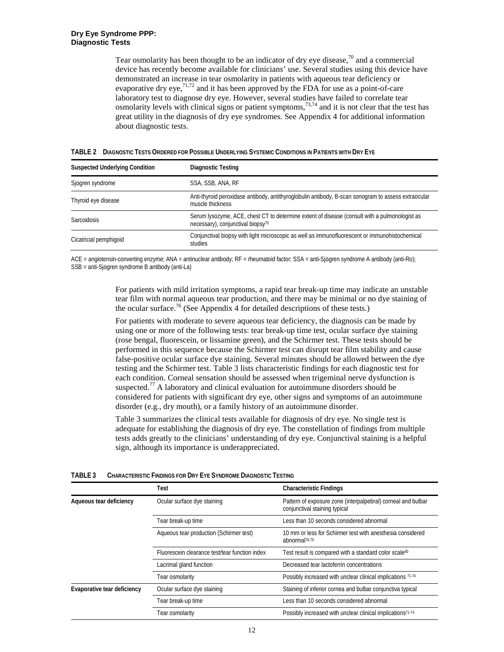Tear osmolarity has been thought to be an indicator of dry eye disease,  $\frac{70}{10}$  $\frac{70}{10}$  $\frac{70}{10}$  and a commercial device has recently become available for clinicians' use. Several studies using this device have demonstrated an increase in tear osmolarity in patients with aqueous tear deficiency or evaporative dry eye,  $7^{1,72}$  $7^{1,72}$  $7^{1,72}$  and it has been approved by the FDA for use as a point-of-care laboratory test to diagnose dry eye. However, several studies have failed to correlate tear osmolarity levels with clinical signs or patient symptoms,  $73,74$  $73,74$  and it is not clear that the test has great utility in the diagnosis of dry eye syndromes. See Appendix 4 for additional information about diagnostic tests.

| <b>Suspected Underlying Condition</b> | Diagnostic Testing                                                                                                                 |
|---------------------------------------|------------------------------------------------------------------------------------------------------------------------------------|
| Sjögren syndrome                      | SSA, SSB, ANA, RF                                                                                                                  |
| Thyroid eye disease                   | Anti-thyroid peroxidase antibody, antithyroglobulin antibody, B-scan sonogram to assess extraocular<br>muscle thickness            |
| <b>Sarcoidosis</b>                    | Serum lysozyme, ACE, chest CT to determine extent of disease (consult with a pulmonologist as<br>necessary), conjunctival biopsy75 |
| Cicatricial pemphigoid                | Conjunctival biopsy with light microscopic as well as immunofluorescent or immunohistochemical<br>studies                          |

ACE = angiotensin-converting enzyme; ANA = antinuclear antibody; RF = rheumatoid factor; SSA = anti-Sjögren syndrome A antibody (anti-Ro); SSB = anti-Sjögren syndrome B antibody (anti-La)

> For patients with mild irritation symptoms, a rapid tear break-up time may indicate an unstable tear film with normal aqueous tear production, and there may be minimal or no dye staining of the ocular surface.<sup>[76](#page-38-9)</sup> (See Appendix 4 for detailed descriptions of these tests.)

For patients with moderate to severe aqueous tear deficiency, the diagnosis can be made by using one or more of the following tests: tear break-up time test, ocular surface dye staining (rose bengal, fluorescein, or lissamine green), and the Schirmer test. These tests should be performed in this sequence because the Schirmer test can disrupt tear film stability and cause false-positive ocular surface dye staining. Several minutes should be allowed between the dye testing and the Schirmer test. Table 3 lists characteristic findings for each diagnostic test for each condition. Corneal sensation should be assessed when trigeminal nerve dysfunction is suspected.<sup>[77](#page-38-10)</sup> A laboratory and clinical evaluation for autoimmune disorders should be considered for patients with significant dry eye, other signs and symptoms of an autoimmune disorder (e.g., dry mouth), or a family history of an autoimmune disorder.

Table 3 summarizes the clinical tests available for diagnosis of dry eye. No single test is adequate for establishing the diagnosis of dry eye. The constellation of findings from multiple tests adds greatly to the clinicians' understanding of dry eye. Conjunctival staining is a helpful sign, although its importance is underappreciated.

|                             | Test                                           | <b>Characteristic Findings</b>                                                                |
|-----------------------------|------------------------------------------------|-----------------------------------------------------------------------------------------------|
| Aqueous tear deficiency     | Ocular surface dye staining                    | Pattern of exposure zone (interpalpebral) corneal and bulbar<br>conjunctival staining typical |
|                             | Tear break-up time                             | Less than 10 seconds considered abnormal                                                      |
|                             | Aqueous tear production (Schirmer test)        | 10 mm or less for Schirmer test with anesthesia considered<br>abnormal <sup>78,79</sup>       |
|                             | Fluorescein clearance test/tear function index | Test result is compared with a standard color scale <sup>80</sup>                             |
|                             | Lacrimal gland function                        | Decreased tear lactoferrin concentrations                                                     |
|                             | Tear osmolarity                                | Possibly increased with unclear clinical implications 71-74                                   |
| Evaporative tear deficiency | Ocular surface dye staining                    | Staining of inferior cornea and bulbar conjunctiva typical                                    |
|                             | Tear break-up time                             | Less than 10 seconds considered abnormal                                                      |
|                             | Tear osmolarity                                | Possibly increased with unclear clinical implications <sup>71-74</sup>                        |

**TABLE 3 CHARACTERISTIC FINDINGS FOR DRY EYE SYNDROME DIAGNOSTIC TESTING**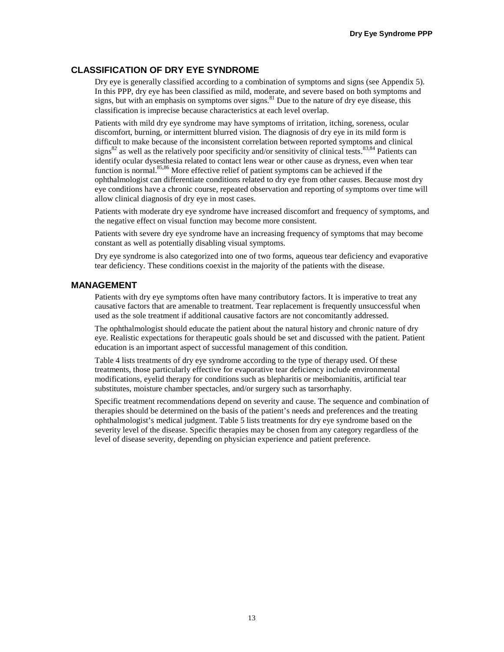#### **CLASSIFICATION OF DRY EYE SYNDROME**

Dry eye is generally classified according to a combination of symptoms and signs (see Appendix 5). In this PPP, dry eye has been classified as mild, moderate, and severe based on both symptoms and signs, but with an emphasis on symptoms over signs. $81$  Due to the nature of dry eye disease, this classification is imprecise because characteristics at each level overlap.

Patients with mild dry eye syndrome may have symptoms of irritation, itching, soreness, ocular discomfort, burning, or intermittent blurred vision. The diagnosis of dry eye in its mild form is difficult to make because of the inconsistent correlation between reported symptoms and clinical signs<sup>82</sup> as well as the relatively poor specificity and/or sensitivity of clinical tests.<sup>[83,](#page-38-16)[84](#page-38-17)</sup> Patients can identify ocular dysesthesia related to contact lens wear or other cause as dryness, even when tear function is normal.[85,](#page-38-18)[86](#page-38-19) More effective relief of patient symptoms can be achieved if the ophthalmologist can differentiate conditions related to dry eye from other causes. Because most dry eye conditions have a chronic course, repeated observation and reporting of symptoms over time will allow clinical diagnosis of dry eye in most cases.

Patients with moderate dry eye syndrome have increased discomfort and frequency of symptoms, and the negative effect on visual function may become more consistent.

Patients with severe dry eye syndrome have an increasing frequency of symptoms that may become constant as well as potentially disabling visual symptoms.

Dry eye syndrome is also categorized into one of two forms, aqueous tear deficiency and evaporative tear deficiency. These conditions coexist in the majority of the patients with the disease.

#### **MANAGEMENT**

Patients with dry eye symptoms often have many contributory factors. It is imperative to treat any causative factors that are amenable to treatment. Tear replacement is frequently unsuccessful when used as the sole treatment if additional causative factors are not concomitantly addressed.

The ophthalmologist should educate the patient about the natural history and chronic nature of dry eye. Realistic expectations for therapeutic goals should be set and discussed with the patient. Patient education is an important aspect of successful management of this condition.

Table 4 lists treatments of dry eye syndrome according to the type of therapy used. Of these treatments, those particularly effective for evaporative tear deficiency include environmental modifications, eyelid therapy for conditions such as blepharitis or meibomianitis, artificial tear substitutes, moisture chamber spectacles, and/or surgery such as tarsorrhaphy.

Specific treatment recommendations depend on severity and cause. The sequence and combination of therapies should be determined on the basis of the patient's needs and preferences and the treating ophthalmologist's medical judgment. Table 5 lists treatments for dry eye syndrome based on the severity level of the disease. Specific therapies may be chosen from any category regardless of the level of disease severity, depending on physician experience and patient preference.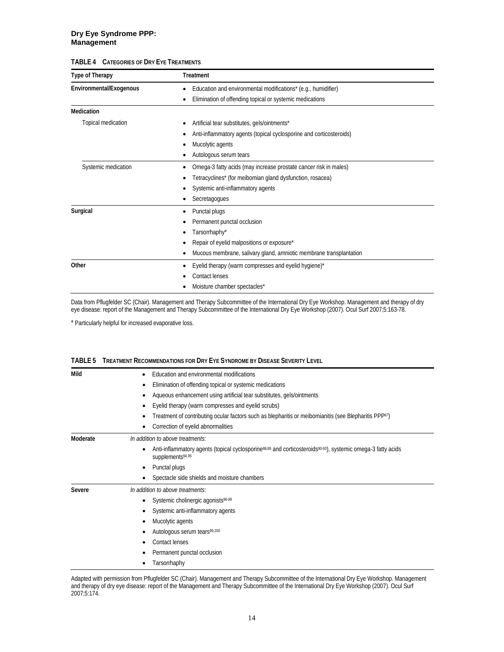| <b>Type of Therapy</b>  | <b>Treatment</b>                                                      |  |
|-------------------------|-----------------------------------------------------------------------|--|
| Environmental/Exogenous | Education and environmental modifications* (e.g., humidifier)         |  |
|                         | Elimination of offending topical or systemic medications              |  |
| Medication              |                                                                       |  |
| Topical medication      | Artificial tear substitutes, gels/ointments*                          |  |
|                         | Anti-inflammatory agents (topical cyclosporine and corticosteroids)   |  |
|                         | Mucolytic agents                                                      |  |
|                         | Autologous serum tears                                                |  |
| Systemic medication     | Omega-3 fatty acids (may increase prostate cancer risk in males)<br>٠ |  |
|                         | Tetracyclines* (for meibomian gland dysfunction, rosacea)             |  |
|                         | Systemic anti-inflammatory agents                                     |  |
|                         | Secretagogues                                                         |  |
| Surgical                | Punctal plugs                                                         |  |
|                         | Permanent punctal occlusion                                           |  |
|                         | Tarsorrhaphy*                                                         |  |
|                         | Repair of eyelid malpositions or exposure*                            |  |
|                         | Mucous membrane, salivary gland, amniotic membrane transplantation    |  |
| Other                   | Eyelid therapy (warm compresses and eyelid hygiene)*                  |  |
|                         | Contact lenses                                                        |  |
|                         | Moisture chamber spectacles*                                          |  |

Data from Pflugfelder SC (Chair). Management and Therapy Subcommittee of the International Dry Eye Workshop. Management and therapy of dry eye disease: report of the Management and Therapy Subcommittee of the International Dry Eye Workshop (2007). Ocul Surf 2007;5:163-78.

\* Particularly helpful for increased evaporative loss.

| Mild     | Education and environmental modifications                                                                                                                |
|----------|----------------------------------------------------------------------------------------------------------------------------------------------------------|
|          | Elimination of offending topical or systemic medications                                                                                                 |
|          | Aqueous enhancement using artificial tear substitutes, gels/ointments                                                                                    |
|          | Eyelid therapy (warm compresses and eyelid scrubs)                                                                                                       |
|          | Treatment of contributing ocular factors such as blepharitis or meibomianitis (see Blepharitis PPP <sup>87</sup> )                                       |
|          | Correction of eyelid abnormalities                                                                                                                       |
| Moderate | In addition to above treatments:                                                                                                                         |
|          | Anti-inflammatory agents (topical cyclosporine <sup>88,89</sup> and corticosteroids <sup>90-93</sup> ), systemic omega-3 fatty acids<br>supplements94,95 |
|          | Punctal plugs                                                                                                                                            |
|          | Spectacle side shields and moisture chambers                                                                                                             |
| Severe   | In addition to above treatments:                                                                                                                         |
|          | Systemic cholinergic agonists <sup>96-98</sup><br>٠                                                                                                      |
|          | Systemic anti-inflammatory agents                                                                                                                        |
|          | Mucolytic agents                                                                                                                                         |
|          | Autologous serum tears <sup>99,100</sup>                                                                                                                 |
|          | Contact lenses                                                                                                                                           |
|          | Permanent punctal occlusion                                                                                                                              |
|          | Tarsorrhaphy                                                                                                                                             |

#### **TABLE 5 TREATMENT RECOMMENDATIONS FOR DRY EYE SYNDROME BY DISEASE SEVERITY LEVEL**

Adapted with permission from Pflugfelder SC (Chair). Management and Therapy Subcommittee of the International Dry Eye Workshop. Management and therapy of dry eye disease: report of the Management and Therapy Subcommittee of the International Dry Eye Workshop (2007). Ocul Surf 2007;5:174.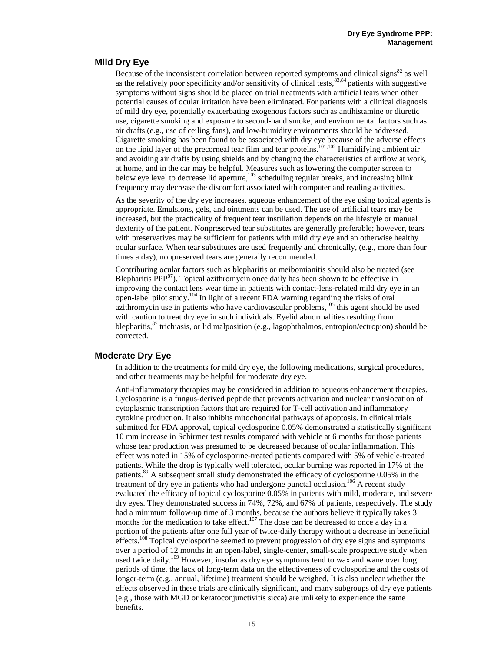#### **Mild Dry Eye**

Because of the inconsistent correlation between reported symptoms and clinical signs $82$  as well as the relatively poor specificity and/or sensitivity of clinical tests,<sup>[83,](#page-38-16)[84](#page-38-17)</sup> patients with suggestive symptoms without signs should be placed on trial treatments with artificial tears when other potential causes of ocular irritation have been eliminated. For patients with a clinical diagnosis of mild dry eye, potentially exacerbating exogenous factors such as antihistamine or diuretic use, cigarette smoking and exposure to second-hand smoke, and environmental factors such as air drafts (e.g., use of ceiling fans), and low-humidity environments should be addressed. Cigarette smoking has been found to be associated with dry eye because of the adverse effects on the lipid layer of the precorneal tear film and tear proteins.<sup>[101,](#page-39-7)[102](#page-39-8)</sup> Humidifying ambient air and avoiding air drafts by using shields and by changing the characteristics of airflow at work, at home, and in the car may be helpful. Measures such as lowering the computer screen to below eye level to decrease lid aperture,<sup>[103](#page-39-9)</sup> scheduling regular breaks, and increasing blink frequency may decrease the discomfort associated with computer and reading activities.

As the severity of the dry eye increases, aqueous enhancement of the eye using topical agents is appropriate. Emulsions, gels, and ointments can be used. The use of artificial tears may be increased, but the practicality of frequent tear instillation depends on the lifestyle or manual dexterity of the patient. Nonpreserved tear substitutes are generally preferable; however, tears with preservatives may be sufficient for patients with mild dry eye and an otherwise healthy ocular surface. When tear substitutes are used frequently and chronically, (e.g., more than four times a day), nonpreserved tears are generally recommended.

Contributing ocular factors such as blepharitis or meibomianitis should also be treated (see Blepharitis  $PPP^{87}$ ). Topical azithromycin once daily has been shown to be effective in improving the contact lens wear time in patients with contact-lens-related mild dry eye in an open-label pilot study.[104](#page-39-10) In light of a recent FDA warning regarding the risks of oral azithromycin use in patients who have cardiovascular problems, $105$  this agent should be used with caution to treat dry eye in such individuals. Eyelid abnormalities resulting from blepharitis, ${}^{87}$  ${}^{87}$  ${}^{87}$  trichiasis, or lid malposition (e.g., lagophthalmos, entropion/ectropion) should be corrected.

#### **Moderate Dry Eye**

In addition to the treatments for mild dry eye, the following medications, surgical procedures, and other treatments may be helpful for moderate dry eye.

Anti-inflammatory therapies may be considered in addition to aqueous enhancement therapies. Cyclosporine is a fungus-derived peptide that prevents activation and nuclear translocation of cytoplasmic transcription factors that are required for T-cell activation and inflammatory cytokine production. It also inhibits mitochondrial pathways of apoptosis. In clinical trials submitted for FDA approval, topical cyclosporine 0.05% demonstrated a statistically significant 10 mm increase in Schirmer test results compared with vehicle at 6 months for those patients whose tear production was presumed to be decreased because of ocular inflammation. This effect was noted in 15% of cyclosporine-treated patients compared with 5% of vehicle-treated patients. While the drop is typically well tolerated, ocular burning was reported in 17% of the patients.<sup>[89](#page-39-0)</sup> A subsequent small study demonstrated the efficacy of cyclosporine 0.05% in the treatment of dry eye in patients who had undergone punctal occlusion.<sup>[106](#page-39-12)</sup> A recent study evaluated the efficacy of topical cyclosporine 0.05% in patients with mild, moderate, and severe dry eyes. They demonstrated success in 74%, 72%, and 67% of patients, respectively. The study had a minimum follow-up time of 3 months, because the authors believe it typically takes 3 months for the medication to take effect.<sup>[107](#page-39-13)</sup> The dose can be decreased to once a day in a portion of the patients after one full year of twice-daily therapy without a decrease in beneficial effects.<sup>[108](#page-39-14)</sup> Topical cyclosporine seemed to prevent progression of dry eye signs and symptoms over a period of 12 months in an open-label, single-center, small-scale prospective study when used twice daily.<sup>[109](#page-39-15)</sup> However, insofar as dry eye symptoms tend to wax and wane over long periods of time, the lack of long-term data on the effectiveness of cyclosporine and the costs of longer-term (e.g., annual, lifetime) treatment should be weighed. It is also unclear whether the effects observed in these trials are clinically significant, and many subgroups of dry eye patients (e.g., those with MGD or keratoconjunctivitis sicca) are unlikely to experience the same benefits.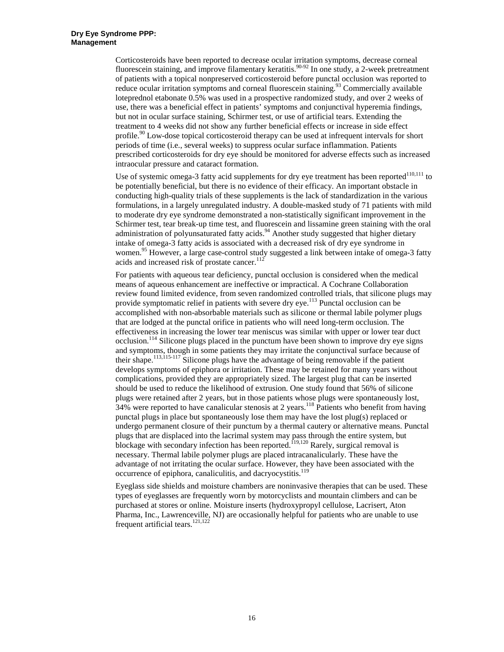Corticosteroids have been reported to decrease ocular irritation symptoms, decrease corneal fluorescein staining, and improve filamentary keratitis.<sup>[90-92](#page-39-1)</sup> In one study, a 2-week pretreatment of patients with a topical nonpreserved corticosteroid before punctal occlusion was reported to reduce ocular irritation symptoms and corneal fluorescein staining.<sup>[93](#page-39-16)</sup> Commercially available loteprednol etabonate 0.5% was used in a prospective randomized study, and over 2 weeks of use, there was a beneficial effect in patients' symptoms and conjunctival hyperemia findings, but not in ocular surface staining, Schirmer test, or use of artificial tears. Extending the treatment to 4 weeks did not show any further beneficial effects or increase in side effect profile.<sup>[90](#page-39-1)</sup> Low-dose topical corticosteroid therapy can be used at infrequent intervals for short periods of time (i.e., several weeks) to suppress ocular surface inflammation. Patients prescribed corticosteroids for dry eye should be monitored for adverse effects such as increased intraocular pressure and cataract formation.

Use of systemic omega-3 fatty acid supplements for dry eye treatment has been reported $110,111$  $110,111$  to be potentially beneficial, but there is no evidence of their efficacy. An important obstacle in conducting high-quality trials of these supplements is the lack of standardization in the various formulations, in a largely unregulated industry. A double-masked study of 71 patients with mild to moderate dry eye syndrome demonstrated a non-statistically significant improvement in the Schirmer test, tear break-up time test, and fluorescein and lissamine green staining with the oral administration of polyunsaturated fatty acids.<sup>[94](#page-39-2)</sup> Another study suggested that higher dietary intake of omega-3 fatty acids is associated with a decreased risk of dry eye syndrome in women.<sup>[95](#page-39-3)</sup> However, a large case-control study suggested a link between intake of omega-3 fatty acids and increased risk of prostate cancer.<sup>[112](#page-40-1)</sup>

For patients with aqueous tear deficiency, punctal occlusion is considered when the medical means of aqueous enhancement are ineffective or impractical. A Cochrane Collaboration review found limited evidence, from seven randomized controlled trials, that silicone plugs may provide symptomatic relief in patients with severe dry eye.<sup>[113](#page-40-2)</sup> Punctal occlusion can be accomplished with non-absorbable materials such as silicone or thermal labile polymer plugs that are lodged at the punctal orifice in patients who will need long-term occlusion. The effectiveness in increasing the lower tear meniscus was similar with upper or lower tear duct occlusion.[114](#page-40-3) Silicone plugs placed in the punctum have been shown to improve dry eye signs and symptoms, though in some patients they may irritate the conjunctival surface because of their shape.<sup>[113,](#page-40-2)[115-117](#page-40-4)</sup> Silicone plugs have the advantage of being removable if the patient develops symptoms of epiphora or irritation. These may be retained for many years without complications, provided they are appropriately sized. The largest plug that can be inserted should be used to reduce the likelihood of extrusion. One study found that 56% of silicone plugs were retained after 2 years, but in those patients whose plugs were spontaneously lost,  $34\%$  were reported to have canalicular stenosis at 2 years.<sup>[118](#page-40-5)</sup> Patients who benefit from having punctal plugs in place but spontaneously lose them may have the lost plug(s) replaced or undergo permanent closure of their punctum by a thermal cautery or alternative means. Punctal plugs that are displaced into the lacrimal system may pass through the entire system, but blockage with secondary infection has been reported.<sup>[119,](#page-40-6)[120](#page-40-7)</sup> Rarely, surgical removal is necessary. Thermal labile polymer plugs are placed intracanalicularly. These have the advantage of not irritating the ocular surface. However, they have been associated with the occurrence of epiphora, canaliculitis, and dacryocystitis.<sup>[119](#page-40-6)</sup>

Eyeglass side shields and moisture chambers are noninvasive therapies that can be used. These types of eyeglasses are frequently worn by motorcyclists and mountain climbers and can be purchased at stores or online. Moisture inserts (hydroxypropyl cellulose, Lacrisert, Aton Pharma, Inc., Lawrenceville, NJ) are occasionally helpful for patients who are unable to use frequent artificial tears.<sup>[121,](#page-40-8)[122](#page-40-9)</sup>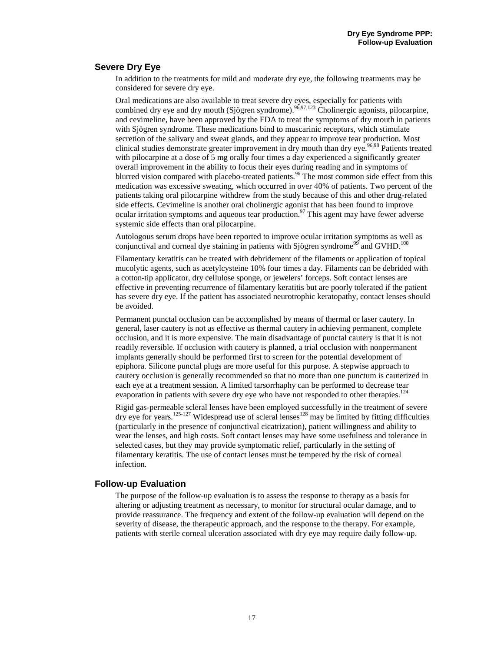#### **Severe Dry Eye**

In addition to the treatments for mild and moderate dry eye, the following treatments may be considered for severe dry eye.

Oral medications are also available to treat severe dry eyes, especially for patients with combined dry eye and dry mouth (Sjögren syndrome).<sup>[96,](#page-39-4)[97,](#page-39-18)[123](#page-40-10)</sup> Cholinergic agonists, pilocarpine, and cevimeline, have been approved by the FDA to treat the symptoms of dry mouth in patients with Sjögren syndrome. These medications bind to muscarinic receptors, which stimulate secretion of the salivary and sweat glands, and they appear to improve tear production. Most clinical studies demonstrate greater improvement in dry mouth than dry eye.<sup>[96,](#page-39-4)[98](#page-39-19)</sup> Patients treated with pilocarpine at a dose of 5 mg orally four times a day experienced a significantly greater overall improvement in the ability to focus their eyes during reading and in symptoms of blurred vision compared with placebo-treated patients.<sup>[96](#page-39-4)</sup> The most common side effect from this medication was excessive sweating, which occurred in over 40% of patients. Two percent of the patients taking oral pilocarpine withdrew from the study because of this and other drug-related side effects. Cevimeline is another oral cholinergic agonist that has been found to improve ocular irritation symptoms and aqueous tear production.<sup>[97](#page-39-18)</sup> This agent may have fewer adverse systemic side effects than oral pilocarpine.

Autologous serum drops have been reported to improve ocular irritation symptoms as well as conjunctival and corneal dye staining in patients with Sjögren syndrome<sup>[99](#page-39-5)</sup> and GVHD.<sup>[100](#page-39-6)</sup>

Filamentary keratitis can be treated with debridement of the filaments or application of topical mucolytic agents, such as acetylcysteine 10% four times a day. Filaments can be debrided with a cotton-tip applicator, dry cellulose sponge, or jewelers' forceps. Soft contact lenses are effective in preventing recurrence of filamentary keratitis but are poorly tolerated if the patient has severe dry eye. If the patient has associated neurotrophic keratopathy, contact lenses should be avoided.

Permanent punctal occlusion can be accomplished by means of thermal or laser cautery. In general, laser cautery is not as effective as thermal cautery in achieving permanent, complete occlusion, and it is more expensive. The main disadvantage of punctal cautery is that it is not readily reversible. If occlusion with cautery is planned, a trial occlusion with nonpermanent implants generally should be performed first to screen for the potential development of epiphora. Silicone punctal plugs are more useful for this purpose. A stepwise approach to cautery occlusion is generally recommended so that no more than one punctum is cauterized in each eye at a treatment session. A limited tarsorrhaphy can be performed to decrease tear evaporation in patients with severe dry eye who have not responded to other therapies.<sup>[124](#page-40-11)</sup>

Rigid gas-permeable scleral lenses have been employed successfully in the treatment of severe dry eye for years.<sup>[125-127](#page-40-12)</sup> Widespread use of scleral lenses<sup>128</sup> may be limited by fitting difficulties (particularly in the presence of conjunctival cicatrization), patient willingness and ability to wear the lenses, and high costs. Soft contact lenses may have some usefulness and tolerance in selected cases, but they may provide symptomatic relief, particularly in the setting of filamentary keratitis. The use of contact lenses must be tempered by the risk of corneal infection.

#### **Follow-up Evaluation**

The purpose of the follow-up evaluation is to assess the response to therapy as a basis for altering or adjusting treatment as necessary, to monitor for structural ocular damage, and to provide reassurance. The frequency and extent of the follow-up evaluation will depend on the severity of disease, the therapeutic approach, and the response to the therapy. For example, patients with sterile corneal ulceration associated with dry eye may require daily follow-up.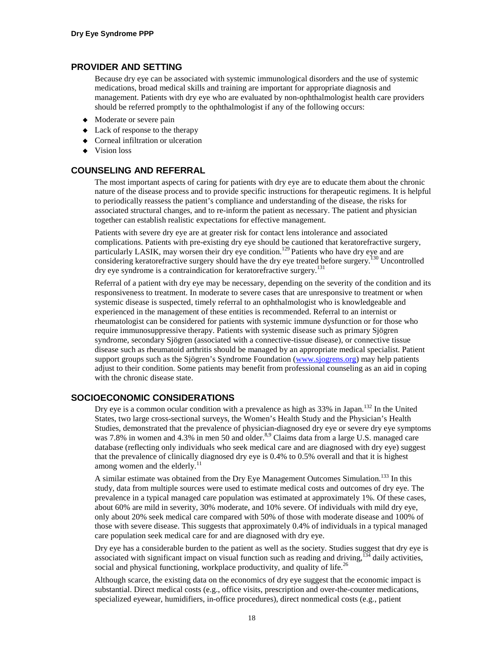#### **PROVIDER AND SETTING**

Because dry eye can be associated with systemic immunological disorders and the use of systemic medications, broad medical skills and training are important for appropriate diagnosis and management. Patients with dry eye who are evaluated by non-ophthalmologist health care providers should be referred promptly to the ophthalmologist if any of the following occurs:

- Moderate or severe pain
- Lack of response to the therapy
- Corneal infiltration or ulceration
- ◆ Vision loss

#### **COUNSELING AND REFERRAL**

The most important aspects of caring for patients with dry eye are to educate them about the chronic nature of the disease process and to provide specific instructions for therapeutic regimens. It is helpful to periodically reassess the patient's compliance and understanding of the disease, the risks for associated structural changes, and to re-inform the patient as necessary. The patient and physician together can establish realistic expectations for effective management.

Patients with severe dry eye are at greater risk for contact lens intolerance and associated complications. Patients with pre-existing dry eye should be cautioned that keratorefractive surgery, particularly LASIK, may worsen their dry eye condition.<sup>[129](#page-40-14)</sup> Patients who have dry eye and are considering keratorefractive surgery should have the dry eye treated before surgery.<sup>[130](#page-40-15)</sup> Uncontrolled dry eye syndrome is a contraindication for keratorefractive surgery.<sup>[131](#page-40-16)</sup>

Referral of a patient with dry eye may be necessary, depending on the severity of the condition and its responsiveness to treatment. In moderate to severe cases that are unresponsive to treatment or when systemic disease is suspected, timely referral to an ophthalmologist who is knowledgeable and experienced in the management of these entities is recommended. Referral to an internist or rheumatologist can be considered for patients with systemic immune dysfunction or for those who require immunosuppressive therapy. Patients with systemic disease such as primary Sjögren syndrome, secondary Sjögren (associated with a connective-tissue disease), or connective tissue disease such as rheumatoid arthritis should be managed by an appropriate medical specialist. Patient support groups such as the Sjögren's Syndrome Foundation [\(www.sjogrens.org\)](http://www.sjogrens.org/) may help patients adjust to their condition. Some patients may benefit from professional counseling as an aid in coping with the chronic disease state.

#### **SOCIOECONOMIC CONSIDERATIONS**

Dry eye is a common ocular condition with a prevalence as high as 33% in Japan.<sup>[132](#page-40-17)</sup> In the United States, two large cross-sectional surveys, the Women's Health Study and the Physician's Health Studies, demonstrated that the prevalence of physician-diagnosed dry eye or severe dry eye symptoms was 7.8% in women and 4.3% in men 50 and older.<sup>[8,](#page-35-7)[9](#page-35-8)</sup> Claims data from a large U.S. managed care database (reflecting only individuals who seek medical care and are diagnosed with dry eye) suggest that the prevalence of clinically diagnosed dry eye is 0.4% to 0.5% overall and that it is highest among women and the elderly.<sup>1</sup>

A similar estimate was obtained from the Dry Eye Management Outcomes Simulation.[133](#page-40-18) In this study, data from multiple sources were used to estimate medical costs and outcomes of dry eye. The prevalence in a typical managed care population was estimated at approximately 1%. Of these cases, about 60% are mild in severity, 30% moderate, and 10% severe. Of individuals with mild dry eye, only about 20% seek medical care compared with 50% of those with moderate disease and 100% of those with severe disease. This suggests that approximately 0.4% of individuals in a typical managed care population seek medical care for and are diagnosed with dry eye.

Dry eye has a considerable burden to the patient as well as the society. Studies suggest that dry eye is associated with significant impact on visual function such as reading and driving, $134$  daily activities, social and physical functioning, workplace productivity, and quality of life.<sup>[26](#page-36-10)</sup>

Although scarce, the existing data on the economics of dry eye suggest that the economic impact is substantial. Direct medical costs (e.g., office visits, prescription and over-the-counter medications, specialized eyewear, humidifiers, in-office procedures), direct nonmedical costs (e.g., patient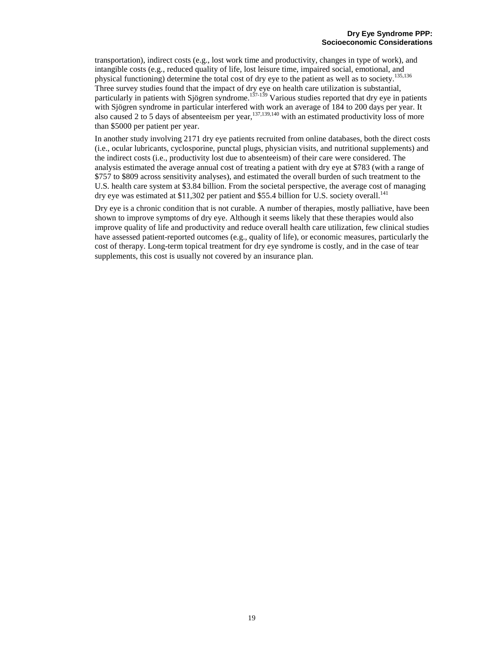transportation), indirect costs (e.g., lost work time and productivity, changes in type of work), and intangible costs (e.g., reduced quality of life, lost leisure time, impaired social, emotional, and physical functioning) determine the total cost of dry eye to the patient as well as to society.[135,](#page-40-20)[136](#page-41-0) Three survey studies found that the impact of dry eye on health care utilization is substantial, particularly in patients with Sjögren syndrome.<sup>[137-139](#page-41-1)</sup> Various studies reported that dry eye in patients with Sjögren syndrome in particular interfered with work an average of 184 to 200 days per year. It also caused 2 to 5 days of absenteeism per year,<sup>[137,](#page-41-1)[139,](#page-41-2)[140](#page-41-3)</sup> with an estimated productivity loss of more than \$5000 per patient per year.

In another study involving 2171 dry eye patients recruited from online databases, both the direct costs (i.e., ocular lubricants, cyclosporine, punctal plugs, physician visits, and nutritional supplements) and the indirect costs (i.e., productivity lost due to absenteeism) of their care were considered. The analysis estimated the average annual cost of treating a patient with dry eye at \$783 (with a range of \$757 to \$809 across sensitivity analyses), and estimated the overall burden of such treatment to the U.S. health care system at \$3.84 billion. From the societal perspective, the average cost of managing dry eye was estimated at \$11,302 per patient and \$55.4 billion for U.S. society overall.<sup>[141](#page-41-4)</sup>

Dry eye is a chronic condition that is not curable. A number of therapies, mostly palliative, have been shown to improve symptoms of dry eye. Although it seems likely that these therapies would also improve quality of life and productivity and reduce overall health care utilization, few clinical studies have assessed patient-reported outcomes (e.g., quality of life), or economic measures, particularly the cost of therapy. Long-term topical treatment for dry eye syndrome is costly, and in the case of tear supplements, this cost is usually not covered by an insurance plan.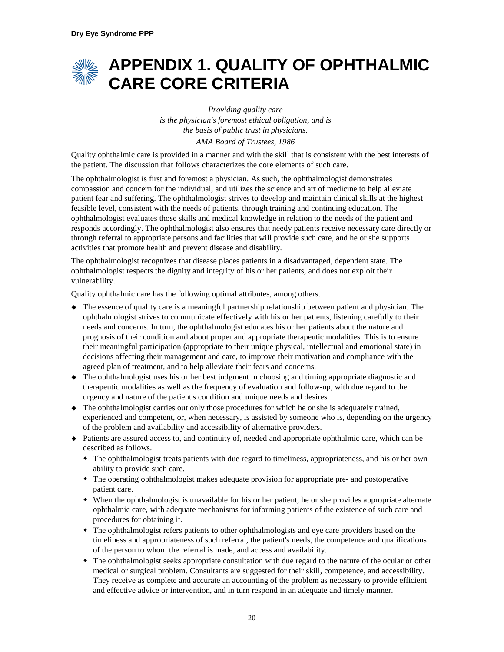### **APPENDIX 1. QUALITY OF OPHTHALMIC CARE CORE CRITERIA**

*Providing quality care is the physician's foremost ethical obligation, and is the basis of public trust in physicians. AMA Board of Trustees, 1986*

Quality ophthalmic care is provided in a manner and with the skill that is consistent with the best interests of the patient. The discussion that follows characterizes the core elements of such care.

The ophthalmologist is first and foremost a physician. As such, the ophthalmologist demonstrates compassion and concern for the individual, and utilizes the science and art of medicine to help alleviate patient fear and suffering. The ophthalmologist strives to develop and maintain clinical skills at the highest feasible level, consistent with the needs of patients, through training and continuing education. The ophthalmologist evaluates those skills and medical knowledge in relation to the needs of the patient and responds accordingly. The ophthalmologist also ensures that needy patients receive necessary care directly or through referral to appropriate persons and facilities that will provide such care, and he or she supports activities that promote health and prevent disease and disability.

The ophthalmologist recognizes that disease places patients in a disadvantaged, dependent state. The ophthalmologist respects the dignity and integrity of his or her patients, and does not exploit their vulnerability.

Quality ophthalmic care has the following optimal attributes, among others.

- The essence of quality care is a meaningful partnership relationship between patient and physician. The ophthalmologist strives to communicate effectively with his or her patients, listening carefully to their needs and concerns. In turn, the ophthalmologist educates his or her patients about the nature and prognosis of their condition and about proper and appropriate therapeutic modalities. This is to ensure their meaningful participation (appropriate to their unique physical, intellectual and emotional state) in decisions affecting their management and care, to improve their motivation and compliance with the agreed plan of treatment, and to help alleviate their fears and concerns.
- The ophthalmologist uses his or her best judgment in choosing and timing appropriate diagnostic and therapeutic modalities as well as the frequency of evaluation and follow-up, with due regard to the urgency and nature of the patient's condition and unique needs and desires.
- The ophthalmologist carries out only those procedures for which he or she is adequately trained, experienced and competent, or, when necessary, is assisted by someone who is, depending on the urgency of the problem and availability and accessibility of alternative providers.
- Patients are assured access to, and continuity of, needed and appropriate ophthalmic care, which can be described as follows.
	- The ophthalmologist treats patients with due regard to timeliness, appropriateness, and his or her own ability to provide such care.
	- The operating ophthalmologist makes adequate provision for appropriate pre- and postoperative patient care.
	- When the ophthalmologist is unavailable for his or her patient, he or she provides appropriate alternate ophthalmic care, with adequate mechanisms for informing patients of the existence of such care and procedures for obtaining it.
	- The ophthalmologist refers patients to other ophthalmologists and eye care providers based on the timeliness and appropriateness of such referral, the patient's needs, the competence and qualifications of the person to whom the referral is made, and access and availability.
	- The ophthalmologist seeks appropriate consultation with due regard to the nature of the ocular or other medical or surgical problem. Consultants are suggested for their skill, competence, and accessibility. They receive as complete and accurate an accounting of the problem as necessary to provide efficient and effective advice or intervention, and in turn respond in an adequate and timely manner.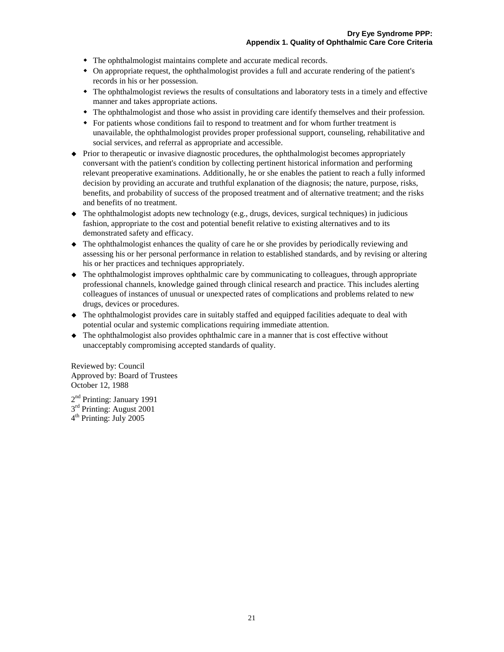- The ophthalmologist maintains complete and accurate medical records.
- On appropriate request, the ophthalmologist provides a full and accurate rendering of the patient's records in his or her possession.
- The ophthalmologist reviews the results of consultations and laboratory tests in a timely and effective manner and takes appropriate actions.
- The ophthalmologist and those who assist in providing care identify themselves and their profession.
- For patients whose conditions fail to respond to treatment and for whom further treatment is unavailable, the ophthalmologist provides proper professional support, counseling, rehabilitative and social services, and referral as appropriate and accessible.
- Prior to therapeutic or invasive diagnostic procedures, the ophthalmologist becomes appropriately conversant with the patient's condition by collecting pertinent historical information and performing relevant preoperative examinations. Additionally, he or she enables the patient to reach a fully informed decision by providing an accurate and truthful explanation of the diagnosis; the nature, purpose, risks, benefits, and probability of success of the proposed treatment and of alternative treatment; and the risks and benefits of no treatment.
- The ophthalmologist adopts new technology (e.g., drugs, devices, surgical techniques) in judicious fashion, appropriate to the cost and potential benefit relative to existing alternatives and to its demonstrated safety and efficacy.
- The ophthalmologist enhances the quality of care he or she provides by periodically reviewing and assessing his or her personal performance in relation to established standards, and by revising or altering his or her practices and techniques appropriately.
- The ophthalmologist improves ophthalmic care by communicating to colleagues, through appropriate professional channels, knowledge gained through clinical research and practice. This includes alerting colleagues of instances of unusual or unexpected rates of complications and problems related to new drugs, devices or procedures.
- The ophthalmologist provides care in suitably staffed and equipped facilities adequate to deal with potential ocular and systemic complications requiring immediate attention.
- The ophthalmologist also provides ophthalmic care in a manner that is cost effective without unacceptably compromising accepted standards of quality.

Reviewed by: Council Approved by: Board of Trustees October 12, 1988

2nd Printing: January 1991 3<sup>rd</sup> Printing: August 2001 4th Printing: July 2005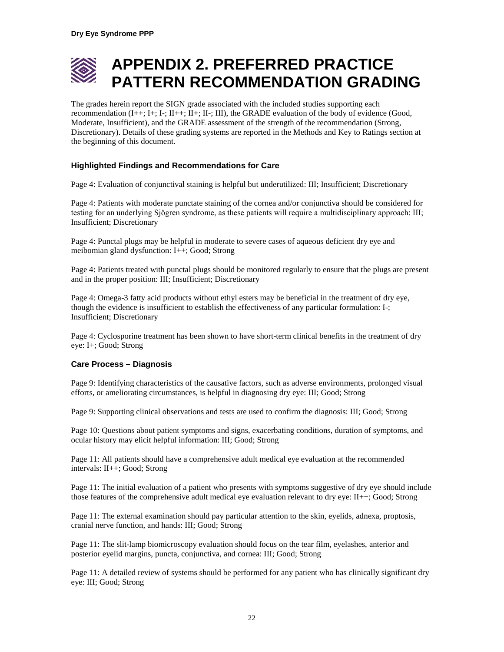### **APPENDIX 2. PREFERRED PRACTICE PATTERN RECOMMENDATION GRADING**

The grades herein report the SIGN grade associated with the included studies supporting each recommendation  $(I++; I+, I-, II++; II+, II-; III)$ , the GRADE evaluation of the body of evidence (Good, Moderate, Insufficient), and the GRADE assessment of the strength of the recommendation (Strong, Discretionary). Details of these grading systems are reported in the Methods and Key to Ratings section at the beginning of this document.

#### **Highlighted Findings and Recommendations for Care**

Page 4: Evaluation of conjunctival staining is helpful but underutilized: III; Insufficient; Discretionary

Page 4: Patients with moderate punctate staining of the cornea and/or conjunctiva should be considered for testing for an underlying Sjӧgren syndrome, as these patients will require a multidisciplinary approach: III; Insufficient; Discretionary

Page 4: Punctal plugs may be helpful in moderate to severe cases of aqueous deficient dry eye and meibomian gland dysfunction: I++; Good; Strong

Page 4: Patients treated with punctal plugs should be monitored regularly to ensure that the plugs are present and in the proper position: III; Insufficient; Discretionary

Page 4: Omega-3 fatty acid products without ethyl esters may be beneficial in the treatment of dry eye, though the evidence is insufficient to establish the effectiveness of any particular formulation: I-; Insufficient; Discretionary

Page 4: Cyclosporine treatment has been shown to have short-term clinical benefits in the treatment of dry eye: I+; Good; Strong

#### **Care Process – Diagnosis**

Page 9: Identifying characteristics of the causative factors, such as adverse environments, prolonged visual efforts, or ameliorating circumstances, is helpful in diagnosing dry eye: III; Good; Strong

Page 9: Supporting clinical observations and tests are used to confirm the diagnosis: III; Good; Strong

Page 10: Questions about patient symptoms and signs, exacerbating conditions, duration of symptoms, and ocular history may elicit helpful information: III; Good; Strong

Page 11: All patients should have a comprehensive adult medical eye evaluation at the recommended intervals: II++; Good; Strong

Page 11: The initial evaluation of a patient who presents with symptoms suggestive of dry eye should include those features of the comprehensive adult medical eye evaluation relevant to dry eye: II++; Good; Strong

Page 11: The external examination should pay particular attention to the skin, eyelids, adnexa, proptosis, cranial nerve function, and hands: III; Good; Strong

Page 11: The slit-lamp biomicroscopy evaluation should focus on the tear film, eyelashes, anterior and posterior eyelid margins, puncta, conjunctiva, and cornea: III; Good; Strong

Page 11: A detailed review of systems should be performed for any patient who has clinically significant dry eye: III; Good; Strong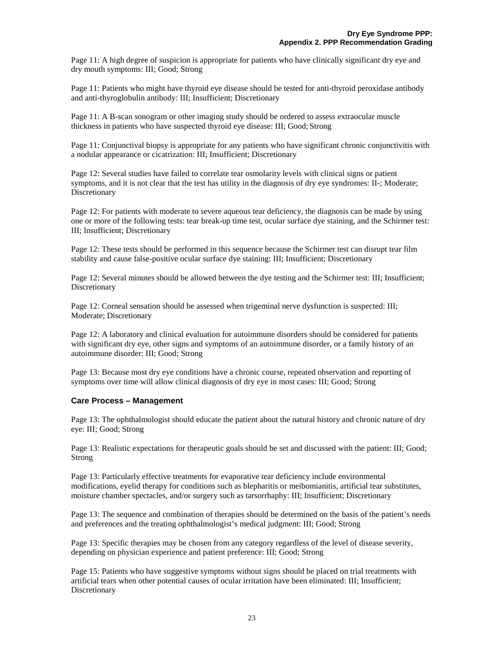Page 11: A high degree of suspicion is appropriate for patients who have clinically significant dry eye and dry mouth symptoms: III; Good; Strong

Page 11: Patients who might have thyroid eye disease should be tested for anti-thyroid peroxidase antibody and anti-thyroglobulin antibody: III; Insufficient; Discretionary

Page 11: A B-scan sonogram or other imaging study should be ordered to assess extraocular muscle thickness in patients who have suspected thyroid eye disease: III; Good; Strong

Page 11: Conjunctival biopsy is appropriate for any patients who have significant chronic conjunctivitis with a nodular appearance or cicatrization: III; Insufficient; Discretionary

Page 12: Several studies have failed to correlate tear osmolarity levels with clinical signs or patient symptoms, and it is not clear that the test has utility in the diagnosis of dry eye syndromes: II-; Moderate; Discretionary

Page 12: For patients with moderate to severe aqueous tear deficiency, the diagnosis can be made by using one or more of the following tests: tear break-up time test, ocular surface dye staining, and the Schirmer test: III; Insufficient; Discretionary

Page 12: These tests should be performed in this sequence because the Schirmer test can disrupt tear film stability and cause false-positive ocular surface dye staining: III; Insufficient; Discretionary

Page 12: Several minutes should be allowed between the dye testing and the Schirmer test: III; Insufficient; **Discretionary** 

Page 12: Corneal sensation should be assessed when trigeminal nerve dysfunction is suspected: III; Moderate; Discretionary

Page 12: A laboratory and clinical evaluation for autoimmune disorders should be considered for patients with significant dry eye, other signs and symptoms of an autoimmune disorder, or a family history of an autoimmune disorder: III; Good; Strong

Page 13: Because most dry eye conditions have a chronic course, repeated observation and reporting of symptoms over time will allow clinical diagnosis of dry eye in most cases: III; Good; Strong

#### **Care Process – Management**

Page 13: The ophthalmologist should educate the patient about the natural history and chronic nature of dry eye: III; Good; Strong

Page 13: Realistic expectations for therapeutic goals should be set and discussed with the patient: III; Good; Strong

Page 13: Particularly effective treatments for evaporative tear deficiency include environmental modifications, eyelid therapy for conditions such as blepharitis or meibomianitis, artificial tear substitutes, moisture chamber spectacles, and/or surgery such as tarsorrhaphy: III; Insufficient; Discretionary

Page 13: The sequence and combination of therapies should be determined on the basis of the patient's needs and preferences and the treating ophthalmologist's medical judgment: III; Good; Strong

Page 13: Specific therapies may be chosen from any category regardless of the level of disease severity, depending on physician experience and patient preference: III; Good; Strong

Page 15: Patients who have suggestive symptoms without signs should be placed on trial treatments with artificial tears when other potential causes of ocular irritation have been eliminated: III; Insufficient; Discretionary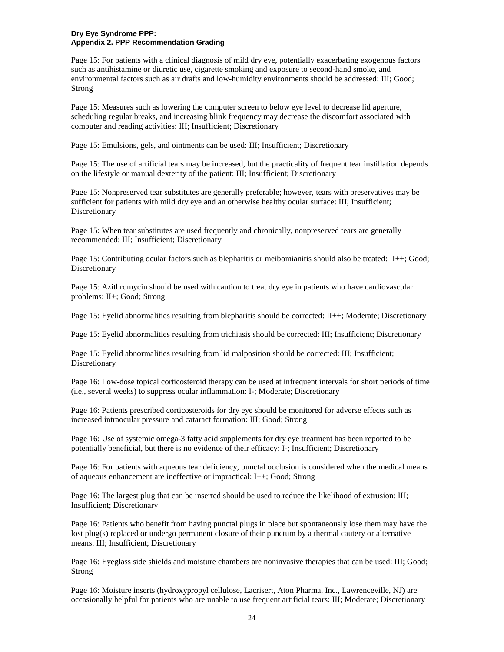#### **Dry Eye Syndrome PPP: Appendix 2. PPP Recommendation Grading**

Page 15: For patients with a clinical diagnosis of mild dry eye, potentially exacerbating exogenous factors such as antihistamine or diuretic use, cigarette smoking and exposure to second-hand smoke, and environmental factors such as air drafts and low-humidity environments should be addressed: III; Good; Strong

Page 15: Measures such as lowering the computer screen to below eye level to decrease lid aperture, scheduling regular breaks, and increasing blink frequency may decrease the discomfort associated with computer and reading activities: III; Insufficient; Discretionary

Page 15: Emulsions, gels, and ointments can be used: III; Insufficient; Discretionary

Page 15: The use of artificial tears may be increased, but the practicality of frequent tear instillation depends on the lifestyle or manual dexterity of the patient: III; Insufficient; Discretionary

Page 15: Nonpreserved tear substitutes are generally preferable; however, tears with preservatives may be sufficient for patients with mild dry eye and an otherwise healthy ocular surface: III; Insufficient; Discretionary

Page 15: When tear substitutes are used frequently and chronically, nonpreserved tears are generally recommended: III; Insufficient; Discretionary

Page 15: Contributing ocular factors such as blepharitis or meibomianitis should also be treated: II++; Good; Discretionary

Page 15: Azithromycin should be used with caution to treat dry eye in patients who have cardiovascular problems: II+; Good; Strong

Page 15: Eyelid abnormalities resulting from blepharitis should be corrected: II++; Moderate; Discretionary

Page 15: Eyelid abnormalities resulting from trichiasis should be corrected: III; Insufficient; Discretionary

Page 15: Eyelid abnormalities resulting from lid malposition should be corrected: III; Insufficient; Discretionary

Page 16: Low-dose topical corticosteroid therapy can be used at infrequent intervals for short periods of time (i.e., several weeks) to suppress ocular inflammation: I-; Moderate; Discretionary

Page 16: Patients prescribed corticosteroids for dry eye should be monitored for adverse effects such as increased intraocular pressure and cataract formation: III; Good; Strong

Page 16: Use of systemic omega-3 fatty acid supplements for dry eye treatment has been reported to be potentially beneficial, but there is no evidence of their efficacy: I-; Insufficient; Discretionary

Page 16: For patients with aqueous tear deficiency, punctal occlusion is considered when the medical means of aqueous enhancement are ineffective or impractical: I++; Good; Strong

Page 16: The largest plug that can be inserted should be used to reduce the likelihood of extrusion: III; Insufficient; Discretionary

Page 16: Patients who benefit from having punctal plugs in place but spontaneously lose them may have the lost plug(s) replaced or undergo permanent closure of their punctum by a thermal cautery or alternative means: III; Insufficient; Discretionary

Page 16: Eyeglass side shields and moisture chambers are noninvasive therapies that can be used: III; Good; Strong

Page 16: Moisture inserts (hydroxypropyl cellulose, Lacrisert, Aton Pharma, Inc., Lawrenceville, NJ) are occasionally helpful for patients who are unable to use frequent artificial tears: III; Moderate; Discretionary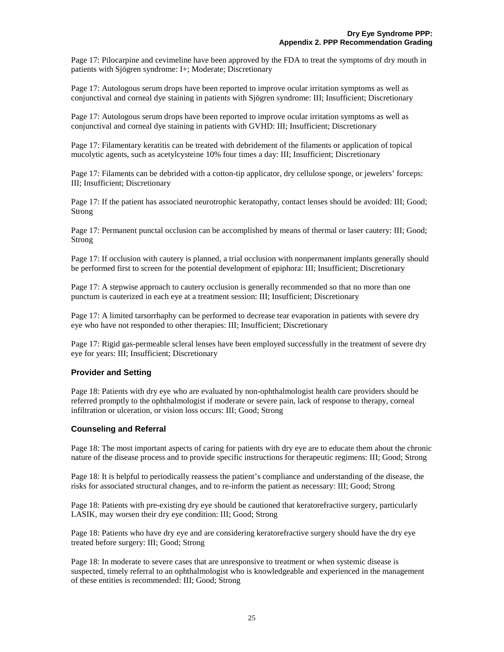Page 17: Pilocarpine and cevimeline have been approved by the FDA to treat the symptoms of dry mouth in patients with Sjögren syndrome: I+; Moderate; Discretionary

Page 17: Autologous serum drops have been reported to improve ocular irritation symptoms as well as conjunctival and corneal dye staining in patients with Sjögren syndrome: III; Insufficient; Discretionary

Page 17: Autologous serum drops have been reported to improve ocular irritation symptoms as well as conjunctival and corneal dye staining in patients with GVHD: III; Insufficient; Discretionary

Page 17: Filamentary keratitis can be treated with debridement of the filaments or application of topical mucolytic agents, such as acetylcysteine 10% four times a day: III; Insufficient; Discretionary

Page 17: Filaments can be debrided with a cotton-tip applicator, dry cellulose sponge, or jewelers' forceps: III; Insufficient; Discretionary

Page 17: If the patient has associated neurotrophic keratopathy, contact lenses should be avoided: III; Good; Strong

Page 17: Permanent punctal occlusion can be accomplished by means of thermal or laser cautery: III; Good; Strong

Page 17: If occlusion with cautery is planned, a trial occlusion with nonpermanent implants generally should be performed first to screen for the potential development of epiphora: III; Insufficient; Discretionary

Page 17: A stepwise approach to cautery occlusion is generally recommended so that no more than one punctum is cauterized in each eye at a treatment session: III; Insufficient; Discretionary

Page 17: A limited tarsorrhaphy can be performed to decrease tear evaporation in patients with severe dry eye who have not responded to other therapies: III; Insufficient; Discretionary

Page 17: Rigid gas-permeable scleral lenses have been employed successfully in the treatment of severe dry eye for years: III; Insufficient; Discretionary

#### **Provider and Setting**

Page 18: Patients with dry eye who are evaluated by non-ophthalmologist health care providers should be referred promptly to the ophthalmologist if moderate or severe pain, lack of response to therapy, corneal infiltration or ulceration, or vision loss occurs: III; Good; Strong

#### **Counseling and Referral**

Page 18: The most important aspects of caring for patients with dry eye are to educate them about the chronic nature of the disease process and to provide specific instructions for therapeutic regimens: III; Good; Strong

Page 18: It is helpful to periodically reassess the patient's compliance and understanding of the disease, the risks for associated structural changes, and to re-inform the patient as necessary: III; Good; Strong

Page 18: Patients with pre-existing dry eye should be cautioned that keratorefractive surgery, particularly LASIK, may worsen their dry eye condition: III; Good; Strong

Page 18: Patients who have dry eye and are considering keratorefractive surgery should have the dry eye treated before surgery: III; Good; Strong

Page 18: In moderate to severe cases that are unresponsive to treatment or when systemic disease is suspected, timely referral to an ophthalmologist who is knowledgeable and experienced in the management of these entities is recommended: III; Good; Strong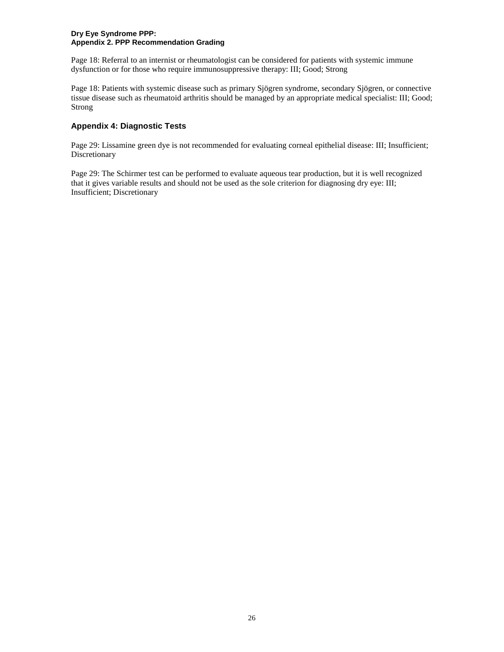#### **Dry Eye Syndrome PPP: Appendix 2. PPP Recommendation Grading**

Page 18: Referral to an internist or rheumatologist can be considered for patients with systemic immune dysfunction or for those who require immunosuppressive therapy: III; Good; Strong

Page 18: Patients with systemic disease such as primary Sjögren syndrome, secondary Sjögren, or connective tissue disease such as rheumatoid arthritis should be managed by an appropriate medical specialist: III; Good; Strong

#### **Appendix 4: Diagnostic Tests**

Page 29: Lissamine green dye is not recommended for evaluating corneal epithelial disease: III; Insufficient; Discretionary

Page 29: The Schirmer test can be performed to evaluate aqueous tear production, but it is well recognized that it gives variable results and should not be used as the sole criterion for diagnosing dry eye: III; Insufficient; Discretionary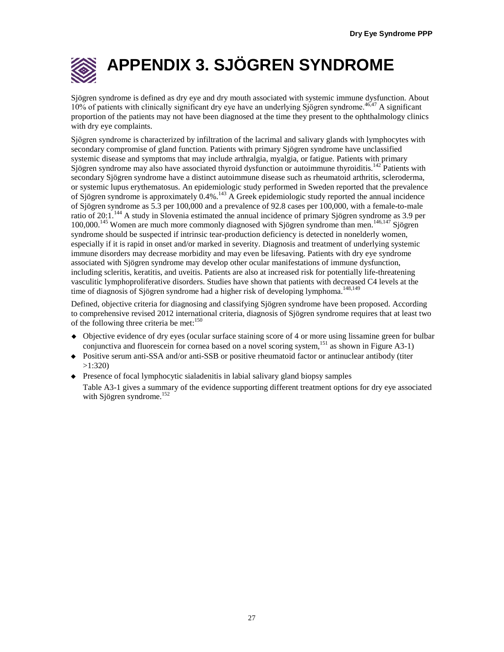# **APPENDIX 3. SJÖGREN SYNDROME**

Sjögren syndrome is defined as dry eye and dry mouth associated with systemic immune dysfunction. About 10% of patients with clinically significant dry eye have an underlying Sjögren syndrome.<sup>[46,](#page-37-6)[47](#page-37-7)</sup> A significant proportion of the patients may not have been diagnosed at the time they present to the ophthalmology clinics with dry eye complaints.

Sjӧgren syndrome is characterized by infiltration of the lacrimal and salivary glands with lymphocytes with secondary compromise of gland function. Patients with primary Sjögren syndrome have unclassified systemic disease and symptoms that may include arthralgia, myalgia, or fatigue. Patients with primary Sjögren syndrome may also have associated thyroid dysfunction or autoimmune thyroiditis.[142](#page-41-5) Patients with secondary Sjögren syndrome have a distinct autoimmune disease such as rheumatoid arthritis, scleroderma, or systemic lupus erythematosus. An epidemiologic study performed in Sweden reported that the prevalence of Sjögren syndrome is approximately 0.4%.[143](#page-41-6) A Greek epidemiologic study reported the annual incidence of Sjögren syndrome as 5.3 per 100,000 and a prevalence of 92.8 cases per 100,000, with a female-to-male ratio of 20:1.[144](#page-41-7) A study in Slovenia estimated the annual incidence of primary Sjögren syndrome as 3.9 per 100,000.[145](#page-41-8) Women are much more commonly diagnosed with Sjögren syndrome than men.[146,](#page-41-9)[147](#page-41-10) Sjögren syndrome should be suspected if intrinsic tear-production deficiency is detected in nonelderly women, especially if it is rapid in onset and/or marked in severity. Diagnosis and treatment of underlying systemic immune disorders may decrease morbidity and may even be lifesaving. Patients with dry eye syndrome associated with Sjögren syndrome may develop other ocular manifestations of immune dysfunction, including scleritis, keratitis, and uveitis. Patients are also at increased risk for potentially life-threatening vasculitic lymphoproliferative disorders. Studies have shown that patients with decreased C4 levels at the time of diagnosis of Sjögren syndrome had a higher risk of developing lymphoma.<sup>[148,](#page-41-11)[149](#page-41-12)</sup>

Defined, objective criteria for diagnosing and classifying Sjögren syndrome have been proposed. According to comprehensive revised 2012 international criteria, diagnosis of Sjögren syndrome requires that at least two of the following three criteria be met:<sup>[150](#page-41-13)</sup>

- Objective evidence of dry eyes (ocular surface staining score of 4 or more using lissamine green for bulbar conjunctiva and fluorescein for cornea based on a novel scoring system, [151](#page-41-14) as shown in Figure A3-1)
- Positive serum anti-SSA and/or anti-SSB or positive rheumatoid factor or antinuclear antibody (titer >1:320)
- Presence of focal lymphocytic sialadenitis in labial salivary gland biopsy samples Table A3-1 gives a summary of the evidence supporting different treatment options for dry eye associated with Sjögren syndrome. $152$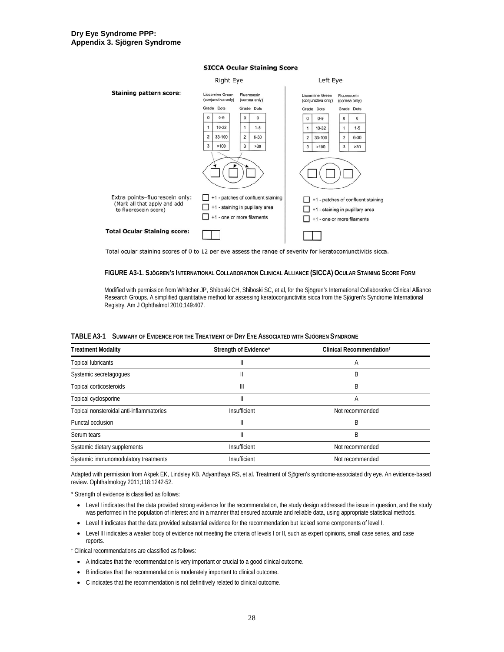#### **SICCA Ocular Staining Score**



Total ocular staining scores of 0 to 12 per eye assess the range of severity for keratoconjunctivitis sicca.

#### **FIGURE A3-1. SJÖGREN'S INTERNATIONAL COLLABORATION CLINICAL ALLIANCE (SICCA) OCULAR STAINING SCORE FORM**

Modified with permission from Whitcher JP, Shiboski CH, Shiboski SC, et al, for the Sjögren's International Collaborative Clinical Alliance Research Groups. A simplified quantitative method for assessing keratoconjunctivitis sicca from the Sjögren's Syndrome International Registry. Am J Ophthalmol 2010;149:407.

| <b>Treatment Modality</b>                | Strength of Evidence* | Clinical Recommendation <sup>t</sup> |  |
|------------------------------------------|-----------------------|--------------------------------------|--|
| <b>Topical lubricants</b>                | Ш                     | Α                                    |  |
| Systemic secretagogues                   | Ш                     | В                                    |  |
| Topical corticosteroids                  | Ш                     | B                                    |  |
| Topical cyclosporine                     | I                     | Α                                    |  |
| Topical nonsteroidal anti-inflammatories | Insufficient          | Not recommended                      |  |
| Punctal occlusion                        |                       | R                                    |  |
| Serum tears                              | Π                     | В                                    |  |
| Systemic dietary supplements             | Insufficient          | Not recommended                      |  |
| Systemic immunomodulatory treatments     | Insufficient          | Not recommended                      |  |

#### **TABLE A3-1 SUMMARY OF EVIDENCE FOR THE TREATMENT OF DRY EYE ASSOCIATED WITH SJÖGREN SYNDROME**

Adapted with permission from Akpek EK, Lindsley KB, Adyanthaya RS, et al. Treatment of Sjögren's syndrome-associated dry eye. An evidence-based review. Ophthalmology 2011;118:1242-52.

\* Strength of evidence is classified as follows:

- Level I indicates that the data provided strong evidence for the recommendation, the study design addressed the issue in question, and the study was performed in the population of interest and in a manner that ensured accurate and reliable data, using appropriate statistical methods.
- Level II indicates that the data provided substantial evidence for the recommendation but lacked some components of level I.
- Level III indicates a weaker body of evidence not meeting the criteria of levels I or II, such as expert opinions, small case series, and case reports.

† Clinical recommendations are classified as follows:

- A indicates that the recommendation is very important or crucial to a good clinical outcome.
- B indicates that the recommendation is moderately important to clinical outcome.
- C indicates that the recommendation is not definitively related to clinical outcome.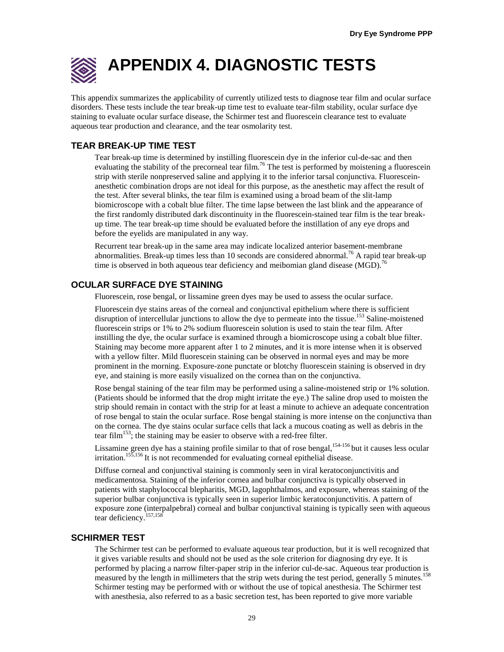

This appendix summarizes the applicability of currently utilized tests to diagnose tear film and ocular surface disorders. These tests include the tear break-up time test to evaluate tear-film stability, ocular surface dye staining to evaluate ocular surface disease, the Schirmer test and fluorescein clearance test to evaluate aqueous tear production and clearance, and the tear osmolarity test.

#### **TEAR BREAK-UP TIME TEST**

Tear break-up time is determined by instilling fluorescein dye in the inferior cul-de-sac and then evaluating the stability of the precorneal tear film.<sup>[76](#page-38-9)</sup> The test is performed by moistening a fluorescein strip with sterile nonpreserved saline and applying it to the inferior tarsal conjunctiva. Fluoresceinanesthetic combination drops are not ideal for this purpose, as the anesthetic may affect the result of the test. After several blinks, the tear film is examined using a broad beam of the slit-lamp biomicroscope with a cobalt blue filter. The time lapse between the last blink and the appearance of the first randomly distributed dark discontinuity in the fluorescein-stained tear film is the tear breakup time. The tear break-up time should be evaluated before the instillation of any eye drops and before the eyelids are manipulated in any way.

Recurrent tear break-up in the same area may indicate localized anterior basement-membrane abnormalities. Break-up times less than 10 seconds are considered abnormal.<sup>[76](#page-38-9)</sup> A rapid tear break-up time is observed in both aqueous tear deficiency and meibomian gland disease (MGD).<sup>[76](#page-38-9)</sup>

#### **OCULAR SURFACE DYE STAINING**

Fluorescein, rose bengal, or lissamine green dyes may be used to assess the ocular surface.

Fluorescein dye stains areas of the corneal and conjunctival epithelium where there is sufficient disruption of intercellular junctions to allow the dye to permeate into the tissue.[153](#page-41-16) Saline-moistened fluorescein strips or 1% to 2% sodium fluorescein solution is used to stain the tear film. After instilling the dye, the ocular surface is examined through a biomicroscope using a cobalt blue filter. Staining may become more apparent after 1 to 2 minutes, and it is more intense when it is observed with a yellow filter. Mild fluorescein staining can be observed in normal eyes and may be more prominent in the morning. Exposure-zone punctate or blotchy fluorescein staining is observed in dry eye, and staining is more easily visualized on the cornea than on the conjunctiva.

Rose bengal staining of the tear film may be performed using a saline-moistened strip or 1% solution. (Patients should be informed that the drop might irritate the eye.) The saline drop used to moisten the strip should remain in contact with the strip for at least a minute to achieve an adequate concentration of rose bengal to stain the ocular surface. Rose bengal staining is more intense on the conjunctiva than on the cornea. The dye stains ocular surface cells that lack a mucous coating as well as debris in the tear film<sup>153</sup>; the staining may be easier to observe with a red-free filter.

Lissamine green dye has a staining profile similar to that of rose bengal, [154-156](#page-41-17) but it causes less ocular irritation.<sup>[155,](#page-41-18)[156](#page-41-19)</sup> It is not recommended for evaluating corneal epithelial disease.

Diffuse corneal and conjunctival staining is commonly seen in viral keratoconjunctivitis and medicamentosa. Staining of the inferior cornea and bulbar conjunctiva is typically observed in patients with staphylococcal blepharitis, MGD, lagophthalmos, and exposure, whereas staining of the superior bulbar conjunctiva is typically seen in superior limbic keratoconjunctivitis. A pattern of exposure zone (interpalpebral) corneal and bulbar conjunctival staining is typically seen with aqueous tear deficiency.<sup>[157,](#page-41-20)[158](#page-41-21)</sup>

#### **SCHIRMER TEST**

The Schirmer test can be performed to evaluate aqueous tear production, but it is well recognized that it gives variable results and should not be used as the sole criterion for diagnosing dry eye. It is performed by placing a narrow filter-paper strip in the inferior cul-de-sac. Aqueous tear production is measured by the length in millimeters that the strip wets during the test period, generally 5 minutes.<sup>[158](#page-41-21)</sup> Schirmer testing may be performed with or without the use of topical anesthesia. The Schirmer test with anesthesia, also referred to as a basic secretion test, has been reported to give more variable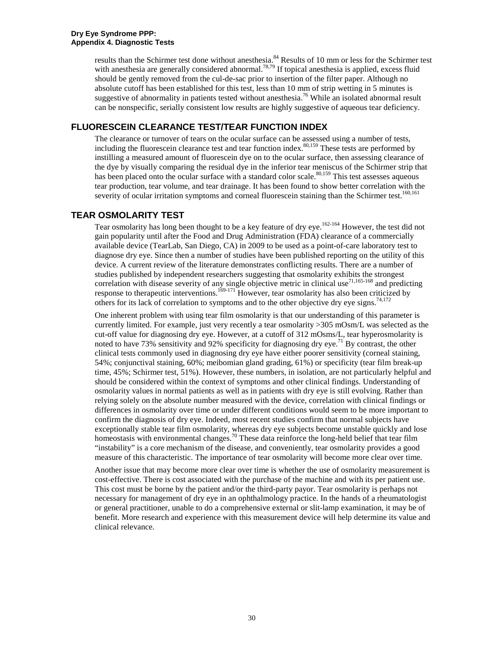results than the Schirmer test done without anesthesia.<sup>[84](#page-38-17)</sup> Results of 10 mm or less for the Schirmer test with anesthesia are generally considered abnormal.<sup>[78,](#page-38-11)[79](#page-38-12)</sup> If topical anesthesia is applied, excess fluid should be gently removed from the cul-de-sac prior to insertion of the filter paper. Although no absolute cutoff has been established for this test, less than 10 mm of strip wetting in 5 minutes is suggestive of abnormality in patients tested without anesthesia.<sup>[76](#page-38-9)</sup> While an isolated abnormal result can be nonspecific, serially consistent low results are highly suggestive of aqueous tear deficiency.

#### **FLUORESCEIN CLEARANCE TEST/TEAR FUNCTION INDEX**

The clearance or turnover of tears on the ocular surface can be assessed using a number of tests, including the fluorescein clearance test and tear function index.<sup>[80,](#page-38-13)[159](#page-41-22)</sup> These tests are performed by instilling a measured amount of fluorescein dye on to the ocular surface, then assessing clearance of the dye by visually comparing the residual dye in the inferior tear meniscus of the Schirmer strip that has been placed onto the ocular surface with a standard color scale.<sup>[80,](#page-38-13)[159](#page-41-22)</sup> This test assesses aqueous tear production, tear volume, and tear drainage. It has been found to show better correlation with the severity of ocular irritation symptoms and corneal fluorescein staining than the Schirmer test.<sup>[160,](#page-42-0)[161](#page-42-1)</sup>

#### **TEAR OSMOLARITY TEST**

Tear osmolarity has long been thought to be a key feature of dry eye.<sup>[162-164](#page-42-2)</sup> However, the test did not gain popularity until after the Food and Drug Administration (FDA) clearance of a commercially available device (TearLab, San Diego, CA) in 2009 to be used as a point-of-care laboratory test to diagnose dry eye. Since then a number of studies have been published reporting on the utility of this device. A current review of the literature demonstrates conflicting results. There are a number of studies published by independent researchers suggesting that osmolarity exhibits the strongest correlation with disease severity of any single objective metric in clinical use<sup>[71,](#page-38-4)[165-168](#page-42-3)</sup> and predicting response to therapeutic interventions.<sup>[169-171](#page-42-4)</sup> However, tear osmolarity has also been criticized by others for its lack of correlation to symptoms and to the other objective dry eye signs.<sup>[74,](#page-38-7)[172](#page-42-5)</sup>

One inherent problem with using tear film osmolarity is that our understanding of this parameter is currently limited. For example, just very recently a tear osmolarity >305 mOsm/L was selected as the cut-off value for diagnosing dry eye. However, at a cutoff of 312 mOsms/L, tear hyperosmolarity is noted to have 73% sensitivity and 92% specificity for diagnosing dry eye.<sup>[71](#page-38-4)</sup> By contrast, the other clinical tests commonly used in diagnosing dry eye have either poorer sensitivity (corneal staining, 54%; conjunctival staining, 60%; meibomian gland grading, 61%) or specificity (tear film break-up time, 45%; Schirmer test, 51%). However, these numbers, in isolation, are not particularly helpful and should be considered within the context of symptoms and other clinical findings. Understanding of osmolarity values in normal patients as well as in patients with dry eye is still evolving. Rather than relying solely on the absolute number measured with the device, correlation with clinical findings or differences in osmolarity over time or under different conditions would seem to be more important to confirm the diagnosis of dry eye. Indeed, most recent studies confirm that normal subjects have exceptionally stable tear film osmolarity, whereas dry eye subjects become unstable quickly and lose homeostasis with environmental changes.<sup>[70](#page-38-3)</sup> These data reinforce the long-held belief that tear film "instability" is a core mechanism of the disease, and conveniently, tear osmolarity provides a good measure of this characteristic. The importance of tear osmolarity will become more clear over time.

Another issue that may become more clear over time is whether the use of osmolarity measurement is cost-effective. There is cost associated with the purchase of the machine and with its per patient use. This cost must be borne by the patient and/or the third-party payor. Tear osmolarity is perhaps not necessary for management of dry eye in an ophthalmology practice. In the hands of a rheumatologist or general practitioner, unable to do a comprehensive external or slit-lamp examination, it may be of benefit. More research and experience with this measurement device will help determine its value and clinical relevance.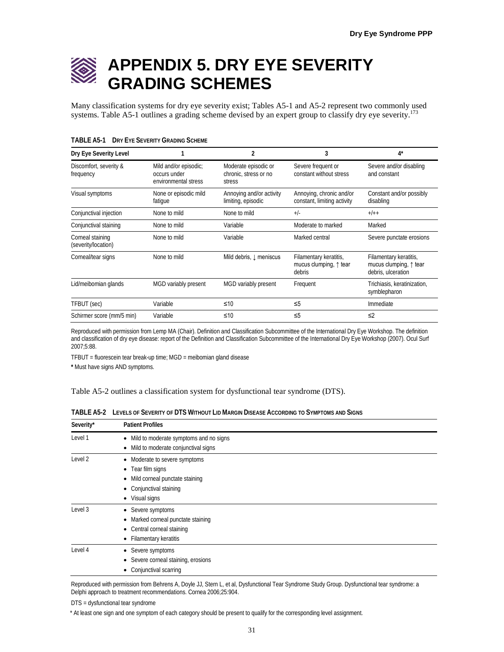

### **APPENDIX 5. DRY EYE SEVERITY GRADING SCHEMES**

Many classification systems for dry eye severity exist; Tables A5-1 and A5-2 represent two commonly used systems. Table A5-1 outlines a grading scheme devised by an expert group to classify dry eye severity.<sup>[173](#page-42-6)</sup>

| Dry Eye Severity Level                  |                                                               | 2                                                       | 3                                                                   | $4^*$                                                                           |
|-----------------------------------------|---------------------------------------------------------------|---------------------------------------------------------|---------------------------------------------------------------------|---------------------------------------------------------------------------------|
| Discomfort, severity &<br>frequency     | Mild and/or episodic;<br>occurs under<br>environmental stress | Moderate episodic or<br>chronic, stress or no<br>stress | Severe frequent or<br>constant without stress                       | Severe and/or disabling<br>and constant                                         |
| Visual symptoms                         | None or episodic mild<br>fatique                              | Annoying and/or activity<br>limiting, episodic          | Annoying, chronic and/or<br>constant, limiting activity             | Constant and/or possibly<br>disabling                                           |
| Conjunctival injection                  | None to mild                                                  | None to mild                                            | $+/-$                                                               | $+/- +$                                                                         |
| Conjunctival staining                   | None to mild                                                  | Variable                                                | Moderate to marked                                                  | Marked                                                                          |
| Corneal staining<br>(severity/location) | None to mild                                                  | Variable                                                | Marked central                                                      | Severe punctate erosions                                                        |
| Corneal/tear signs                      | None to mild                                                  | Mild debris, $\downarrow$ meniscus                      | Filamentary keratitis,<br>mucus clumping, $\uparrow$ tear<br>debris | Filamentary keratitis,<br>mucus clumping, $\uparrow$ tear<br>debris, ulceration |
| Lid/meibomian glands                    | MGD variably present                                          | MGD variably present                                    | Frequent                                                            | Trichiasis, keratinization,<br>symblepharon                                     |
| TFBUT (sec)                             | Variable                                                      | ≤10                                                     | ≤5                                                                  | Immediate                                                                       |
| Schirmer score (mm/5 min)               | Variable                                                      | ≤10                                                     | $\leq 5$                                                            | $\leq$ 2                                                                        |

#### **TABLE A5-1 DRY EYE SEVERITY GRADING SCHEME**

Reproduced with permission from Lemp MA (Chair). Definition and Classification Subcommittee of the International Dry Eye Workshop. The definition and classification of dry eye disease: report of the Definition and Classification Subcommittee of the International Dry Eye Workshop (2007). Ocul Surf 2007;5:88.

TFBUT = fluorescein tear break-up time; MGD = meibomian gland disease

**\*** Must have signs AND symptoms.

#### Table A5-2 outlines a classification system for dysfunctional tear syndrome (DTS).

| TABLE A5-2 LEVELS OF SEVERITY OF DTS WITHOUT LID MARGIN DISEASE ACCORDING TO SYMPTOMS AND SIGNS |
|-------------------------------------------------------------------------------------------------|
|-------------------------------------------------------------------------------------------------|

| Severity* | <b>Patient Profiles</b>                                                                                                                         |
|-----------|-------------------------------------------------------------------------------------------------------------------------------------------------|
| Level 1   | Mild to moderate symptoms and no signs<br>$\bullet$<br>Mild to moderate conjunctival signs                                                      |
| Level 2   | • Moderate to severe symptoms<br>Tear film signs<br>$\bullet$<br>Mild corneal punctate staining<br>• Conjunctival staining<br>• Visual signs    |
| Level 3   | Severe symptoms<br>$\bullet$<br>Marked corneal punctate staining<br>Central corneal staining<br>$\bullet$<br>Filamentary keratitis<br>$\bullet$ |
| Level 4   | Severe symptoms<br>$\bullet$<br>Severe corneal staining, erosions<br>$\bullet$<br>Conjunctival scarring                                         |

Reproduced with permission from Behrens A, Doyle JJ, Stern L, et al, Dysfunctional Tear Syndrome Study Group. Dysfunctional tear syndrome: a Delphi approach to treatment recommendations. Cornea 2006;25:904.

DTS = dysfunctional tear syndrome

\* At least one sign and one symptom of each category should be present to qualify for the corresponding level assignment.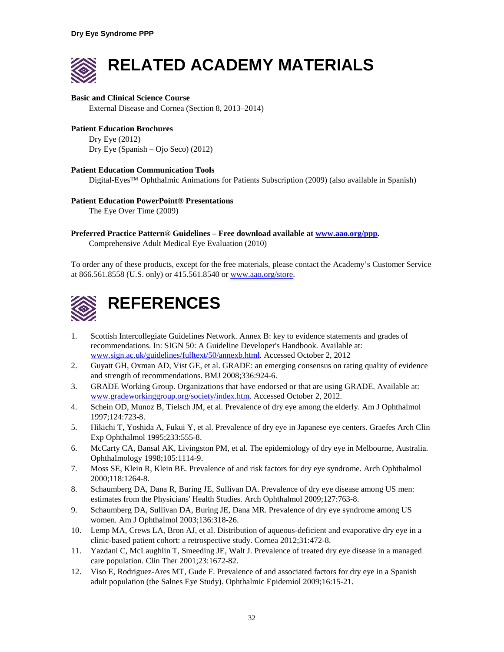

#### **Basic and Clinical Science Course**

External Disease and Cornea (Section 8, 2013–2014)

#### **Patient Education Brochures**

Dry Eye (2012) Dry Eye (Spanish – Ojo Seco) (2012)

#### **Patient Education Communication Tools**

Digital-Eyes™ Ophthalmic Animations for Patients Subscription (2009) (also available in Spanish)

#### **Patient Education PowerPoint® Presentations**

The Eye Over Time (2009)

**Preferred Practice Pattern® Guidelines – Free download available at [www.aao.org/ppp.](http://www.aao.org/ppp)**

Comprehensive Adult Medical Eye Evaluation (2010)

To order any of these products, except for the free materials, please contact the Academy's Customer Service at 866.561.8558 (U.S. only) or 415.561.8540 or [www.aao.org/store.](http://www.aao.org/store)



## **REFERENCES**

- <span id="page-35-0"></span>1. Scottish Intercollegiate Guidelines Network. Annex B: key to evidence statements and grades of recommendations. In: SIGN 50: A Guideline Developer's Handbook. Available at: [www.sign.ac.uk/guidelines/fulltext/50/annexb.html.](http://www.sign.ac.uk/guidelines/fulltext/50/annexb.html) Accessed October 2, 2012
- <span id="page-35-1"></span>2. Guyatt GH, Oxman AD, Vist GE, et al. GRADE: an emerging consensus on rating quality of evidence and strength of recommendations. BMJ 2008;336:924-6.
- <span id="page-35-2"></span>3. GRADE Working Group. Organizations that have endorsed or that are using GRADE. Available at: [www.gradeworkinggroup.org/society/index.htm.](http://www.gradeworkinggroup.org/society/index.htm) Accessed October 2, 2012.
- <span id="page-35-3"></span>4. Schein OD, Munoz B, Tielsch JM, et al. Prevalence of dry eye among the elderly. Am J Ophthalmol 1997;124:723-8.
- <span id="page-35-4"></span>5. Hikichi T, Yoshida A, Fukui Y, et al. Prevalence of dry eye in Japanese eye centers. Graefes Arch Clin Exp Ophthalmol 1995;233:555-8.
- <span id="page-35-5"></span>6. McCarty CA, Bansal AK, Livingston PM, et al. The epidemiology of dry eye in Melbourne, Australia. Ophthalmology 1998;105:1114-9.
- <span id="page-35-6"></span>7. Moss SE, Klein R, Klein BE. Prevalence of and risk factors for dry eye syndrome. Arch Ophthalmol 2000;118:1264-8.
- <span id="page-35-7"></span>8. Schaumberg DA, Dana R, Buring JE, Sullivan DA. Prevalence of dry eye disease among US men: estimates from the Physicians' Health Studies. Arch Ophthalmol 2009;127:763-8.
- <span id="page-35-8"></span>9. Schaumberg DA, Sullivan DA, Buring JE, Dana MR. Prevalence of dry eye syndrome among US women. Am J Ophthalmol 2003;136:318-26.
- <span id="page-35-9"></span>10. Lemp MA, Crews LA, Bron AJ, et al. Distribution of aqueous-deficient and evaporative dry eye in a clinic-based patient cohort: a retrospective study. Cornea 2012;31:472-8.
- <span id="page-35-10"></span>11. Yazdani C, McLaughlin T, Smeeding JE, Walt J. Prevalence of treated dry eye disease in a managed care population. Clin Ther 2001;23:1672-82.
- 12. Viso E, Rodriguez-Ares MT, Gude F. Prevalence of and associated factors for dry eye in a Spanish adult population (the Salnes Eye Study). Ophthalmic Epidemiol 2009;16:15-21.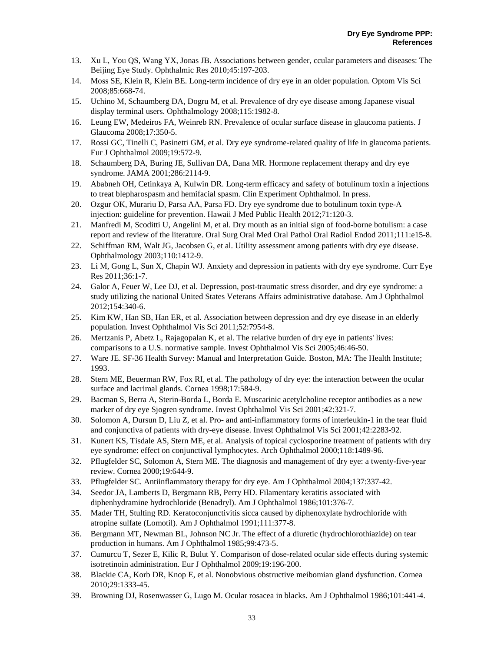- 13. Xu L, You QS, Wang YX, Jonas JB. Associations between gender, ccular parameters and diseases: The Beijing Eye Study. Ophthalmic Res 2010;45:197-203.
- <span id="page-36-3"></span>14. Moss SE, Klein R, Klein BE. Long-term incidence of dry eye in an older population. Optom Vis Sci 2008;85:668-74.
- <span id="page-36-0"></span>15. Uchino M, Schaumberg DA, Dogru M, et al. Prevalence of dry eye disease among Japanese visual display terminal users. Ophthalmology 2008;115:1982-8.
- <span id="page-36-1"></span>16. Leung EW, Medeiros FA, Weinreb RN. Prevalence of ocular surface disease in glaucoma patients. J Glaucoma 2008;17:350-5.
- <span id="page-36-2"></span>17. Rossi GC, Tinelli C, Pasinetti GM, et al. Dry eye syndrome-related quality of life in glaucoma patients. Eur J Ophthalmol 2009;19:572-9.
- <span id="page-36-4"></span>18. Schaumberg DA, Buring JE, Sullivan DA, Dana MR. Hormone replacement therapy and dry eye syndrome. JAMA 2001;286:2114-9.
- <span id="page-36-5"></span>19. Ababneh OH, Cetinkaya A, Kulwin DR. Long-term efficacy and safety of botulinum toxin a injections to treat blepharospasm and hemifacial spasm. Clin Experiment Ophthalmol. In press.
- 20. Ozgur OK, Murariu D, Parsa AA, Parsa FD. Dry eye syndrome due to botulinum toxin type-A injection: guideline for prevention. Hawaii J Med Public Health 2012;71:120-3.
- 21. Manfredi M, Scoditti U, Angelini M, et al. Dry mouth as an initial sign of food-borne botulism: a case report and review of the literature. Oral Surg Oral Med Oral Pathol Oral Radiol Endod 2011;111:e15-8.
- <span id="page-36-6"></span>22. Schiffman RM, Walt JG, Jacobsen G, et al. Utility assessment among patients with dry eye disease. Ophthalmology 2003;110:1412-9.
- <span id="page-36-7"></span>23. Li M, Gong L, Sun X, Chapin WJ. Anxiety and depression in patients with dry eye syndrome. Curr Eye Res 2011;36:1-7.
- <span id="page-36-8"></span>24. Galor A, Feuer W, Lee DJ, et al. Depression, post-traumatic stress disorder, and dry eye syndrome: a study utilizing the national United States Veterans Affairs administrative database. Am J Ophthalmol 2012;154:340-6.
- <span id="page-36-9"></span>25. Kim KW, Han SB, Han ER, et al. Association between depression and dry eye disease in an elderly population. Invest Ophthalmol Vis Sci 2011;52:7954-8.
- <span id="page-36-10"></span>26. Mertzanis P, Abetz L, Rajagopalan K, et al. The relative burden of dry eye in patients' lives: comparisons to a U.S. normative sample. Invest Ophthalmol Vis Sci 2005;46:46-50.
- <span id="page-36-11"></span>27. Ware JE. SF-36 Health Survey: Manual and Interpretation Guide. Boston, MA: The Health Institute; 1993.
- <span id="page-36-12"></span>28. Stern ME, Beuerman RW, Fox RI, et al. The pathology of dry eye: the interaction between the ocular surface and lacrimal glands. Cornea 1998;17:584-9.
- <span id="page-36-13"></span>29. Bacman S, Berra A, Sterin-Borda L, Borda E. Muscarinic acetylcholine receptor antibodies as a new marker of dry eye Sjogren syndrome. Invest Ophthalmol Vis Sci 2001;42:321-7.
- <span id="page-36-14"></span>30. Solomon A, Dursun D, Liu Z, et al. Pro- and anti-inflammatory forms of interleukin-1 in the tear fluid and conjunctiva of patients with dry-eye disease. Invest Ophthalmol Vis Sci 2001;42:2283-92.
- <span id="page-36-15"></span>31. Kunert KS, Tisdale AS, Stern ME, et al. Analysis of topical cyclosporine treatment of patients with dry eye syndrome: effect on conjunctival lymphocytes. Arch Ophthalmol 2000;118:1489-96.
- <span id="page-36-16"></span>32. Pflugfelder SC, Solomon A, Stern ME. The diagnosis and management of dry eye: a twenty-five-year review. Cornea 2000;19:644-9.
- <span id="page-36-17"></span>33. Pflugfelder SC. Antiinflammatory therapy for dry eye. Am J Ophthalmol 2004;137:337-42.
- <span id="page-36-18"></span>34. Seedor JA, Lamberts D, Bergmann RB, Perry HD. Filamentary keratitis associated with diphenhydramine hydrochloride (Benadryl). Am J Ophthalmol 1986;101:376-7.
- 35. Mader TH, Stulting RD. Keratoconjunctivitis sicca caused by diphenoxylate hydrochloride with atropine sulfate (Lomotil). Am J Ophthalmol 1991;111:377-8.
- 36. Bergmann MT, Newman BL, Johnson NC Jr. The effect of a diuretic (hydrochlorothiazide) on tear production in humans. Am J Ophthalmol 1985;99:473-5.
- 37. Cumurcu T, Sezer E, Kilic R, Bulut Y. Comparison of dose-related ocular side effects during systemic isotretinoin administration. Eur J Ophthalmol 2009;19:196-200.
- <span id="page-36-19"></span>38. Blackie CA, Korb DR, Knop E, et al. Nonobvious obstructive meibomian gland dysfunction. Cornea 2010;29:1333-45.
- <span id="page-36-20"></span>39. Browning DJ, Rosenwasser G, Lugo M. Ocular rosacea in blacks. Am J Ophthalmol 1986;101:441-4.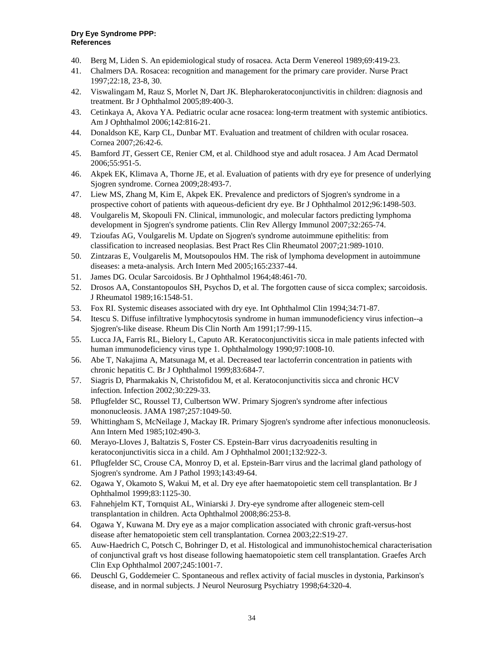- <span id="page-37-0"></span>40. Berg M, Liden S. An epidemiological study of rosacea. Acta Derm Venereol 1989;69:419-23.
- <span id="page-37-1"></span>41. Chalmers DA. Rosacea: recognition and management for the primary care provider. Nurse Pract 1997;22:18, 23-8, 30.
- <span id="page-37-2"></span>42. Viswalingam M, Rauz S, Morlet N, Dart JK. Blepharokeratoconjunctivitis in children: diagnosis and treatment. Br J Ophthalmol 2005;89:400-3.
- <span id="page-37-3"></span>43. Cetinkaya A, Akova YA. Pediatric ocular acne rosacea: long-term treatment with systemic antibiotics. Am J Ophthalmol 2006;142:816-21.
- <span id="page-37-4"></span>44. Donaldson KE, Karp CL, Dunbar MT. Evaluation and treatment of children with ocular rosacea. Cornea 2007;26:42-6.
- <span id="page-37-5"></span>45. Bamford JT, Gessert CE, Renier CM, et al. Childhood stye and adult rosacea. J Am Acad Dermatol 2006;55:951-5.
- <span id="page-37-6"></span>46. Akpek EK, Klimava A, Thorne JE, et al. Evaluation of patients with dry eye for presence of underlying Sjogren syndrome. Cornea 2009;28:493-7.
- <span id="page-37-7"></span>47. Liew MS, Zhang M, Kim E, Akpek EK. Prevalence and predictors of Sjogren's syndrome in a prospective cohort of patients with aqueous-deficient dry eye. Br J Ophthalmol 2012;96:1498-503.
- <span id="page-37-8"></span>48. Voulgarelis M, Skopouli FN. Clinical, immunologic, and molecular factors predicting lymphoma development in Sjogren's syndrome patients. Clin Rev Allergy Immunol 2007;32:265-74.
- <span id="page-37-9"></span>49. Tzioufas AG, Voulgarelis M. Update on Sjogren's syndrome autoimmune epithelitis: from classification to increased neoplasias. Best Pract Res Clin Rheumatol 2007;21:989-1010.
- <span id="page-37-10"></span>50. Zintzaras E, Voulgarelis M, Moutsopoulos HM. The risk of lymphoma development in autoimmune diseases: a meta-analysis. Arch Intern Med 2005;165:2337-44.
- <span id="page-37-11"></span>51. James DG. Ocular Sarcoidosis. Br J Ophthalmol 1964;48:461-70.
- <span id="page-37-12"></span>52. Drosos AA, Constantopoulos SH, Psychos D, et al. The forgotten cause of sicca complex; sarcoidosis. J Rheumatol 1989;16:1548-51.
- <span id="page-37-13"></span>53. Fox RI. Systemic diseases associated with dry eye. Int Ophthalmol Clin 1994;34:71-87.
- <span id="page-37-14"></span>54. Itescu S. Diffuse infiltrative lymphocytosis syndrome in human immunodeficiency virus infection--a Sjogren's-like disease. Rheum Dis Clin North Am 1991;17:99-115.
- <span id="page-37-15"></span>55. Lucca JA, Farris RL, Bielory L, Caputo AR. Keratoconjunctivitis sicca in male patients infected with human immunodeficiency virus type 1. Ophthalmology 1990;97:1008-10.
- <span id="page-37-16"></span>56. Abe T, Nakajima A, Matsunaga M, et al. Decreased tear lactoferrin concentration in patients with chronic hepatitis C. Br J Ophthalmol 1999;83:684-7.
- <span id="page-37-17"></span>57. Siagris D, Pharmakakis N, Christofidou M, et al. Keratoconjunctivitis sicca and chronic HCV infection. Infection 2002;30:229-33.
- <span id="page-37-18"></span>58. Pflugfelder SC, Roussel TJ, Culbertson WW. Primary Sjogren's syndrome after infectious mononucleosis. JAMA 1987;257:1049-50.
- 59. Whittingham S, McNeilage J, Mackay IR. Primary Sjogren's syndrome after infectious mononucleosis. Ann Intern Med 1985;102:490-3.
- 60. Merayo-Lloves J, Baltatzis S, Foster CS. Epstein-Barr virus dacryoadenitis resulting in keratoconjunctivitis sicca in a child. Am J Ophthalmol 2001;132:922-3.
- 61. Pflugfelder SC, Crouse CA, Monroy D, et al. Epstein-Barr virus and the lacrimal gland pathology of Sjogren's syndrome. Am J Pathol 1993;143:49-64.
- <span id="page-37-19"></span>62. Ogawa Y, Okamoto S, Wakui M, et al. Dry eye after haematopoietic stem cell transplantation. Br J Ophthalmol 1999;83:1125-30.
- <span id="page-37-20"></span>63. Fahnehjelm KT, Tornquist AL, Winiarski J. Dry-eye syndrome after allogeneic stem-cell transplantation in children. Acta Ophthalmol 2008;86:253-8.
- <span id="page-37-21"></span>64. Ogawa Y, Kuwana M. Dry eye as a major complication associated with chronic graft-versus-host disease after hematopoietic stem cell transplantation. Cornea 2003;22:S19-27.
- <span id="page-37-22"></span>65. Auw-Haedrich C, Potsch C, Bohringer D, et al. Histological and immunohistochemical characterisation of conjunctival graft vs host disease following haematopoietic stem cell transplantation. Graefes Arch Clin Exp Ophthalmol 2007;245:1001-7.
- <span id="page-37-23"></span>66. Deuschl G, Goddemeier C. Spontaneous and reflex activity of facial muscles in dystonia, Parkinson's disease, and in normal subjects. J Neurol Neurosurg Psychiatry 1998;64:320-4.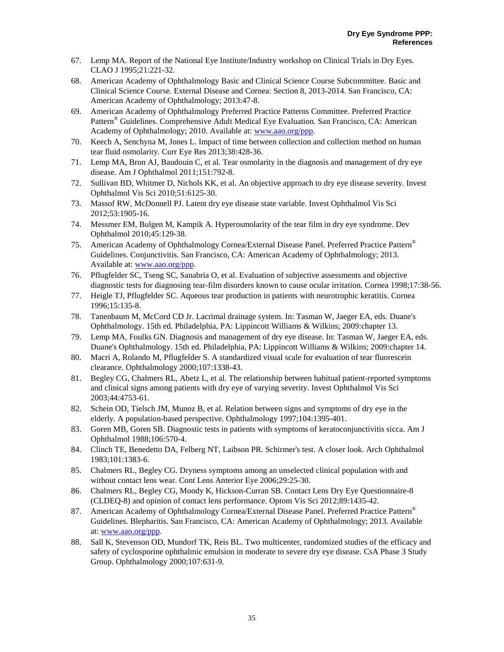- <span id="page-38-0"></span>67. Lemp MA. Report of the National Eye Institute/Industry workshop on Clinical Trials in Dry Eyes. CLAO J 1995;21:221-32.
- <span id="page-38-1"></span>68. American Academy of Ophthalmology Basic and Clinical Science Course Subcommittee. Basic and Clinical Science Course. External Disease and Cornea: Section 8, 2013-2014. San Francisco, CA: American Academy of Ophthalmology; 2013:47-8.
- <span id="page-38-2"></span>69. American Academy of Ophthalmology Preferred Practice Patterns Committee. Preferred Practice Pattern® Guidelines. Comprehensive Adult Medical Eye Evaluation. San Francisco, CA: American Academy of Ophthalmology; 2010. Available at[: www.aao.org/ppp.](http://www.aao.org/ppp)
- <span id="page-38-3"></span>70. Keech A, Senchyna M, Jones L. Impact of time between collection and collection method on human tear fluid osmolarity. Curr Eye Res 2013;38:428-36.
- <span id="page-38-4"></span>71. Lemp MA, Bron AJ, Baudouin C, et al. Tear osmolarity in the diagnosis and management of dry eye disease. Am J Ophthalmol 2011;151:792-8.
- <span id="page-38-5"></span>72. Sullivan BD, Whitmer D, Nichols KK, et al. An objective approach to dry eye disease severity. Invest Ophthalmol Vis Sci 2010;51:6125-30.
- <span id="page-38-6"></span>73. Massof RW, McDonnell PJ. Latent dry eye disease state variable. Invest Ophthalmol Vis Sci 2012;53:1905-16.
- <span id="page-38-7"></span>74. Messmer EM, Bulgen M, Kampik A. Hyperosmolarity of the tear film in dry eye syndrome. Dev Ophthalmol 2010;45:129-38.
- <span id="page-38-8"></span>75. American Academy of Ophthalmology Cornea/External Disease Panel. Preferred Practice Pattern® Guidelines. Conjunctivitis. San Francisco, CA: American Academy of Ophthalmology; 2013. Available at: [www.aao.org/ppp.](http://www.aao.org/ppp)
- <span id="page-38-9"></span>76. Pflugfelder SC, Tseng SC, Sanabria O, et al. Evaluation of subjective assessments and objective diagnostic tests for diagnosing tear-film disorders known to cause ocular irritation. Cornea 1998;17:38-56.
- <span id="page-38-10"></span>77. Heigle TJ, Pflugfelder SC. Aqueous tear production in patients with neurotrophic keratitis. Cornea 1996;15:135-8.
- <span id="page-38-11"></span>78. Tanenbaum M, McCord CD Jr. Lacrimal drainage system. In: Tasman W, Jaeger EA, eds. Duane's Ophthalmology. 15th ed. Philadelphia, PA: Lippincott Williams & Wilkins; 2009:chapter 13.
- <span id="page-38-12"></span>79. Lemp MA, Foulks GN. Diagnosis and management of dry eye disease. In: Tasman W, Jaeger EA, eds. Duane's Ophthalmology. 15th ed. Philadelphia, PA: Lippincott Williams & Wilkins; 2009:chapter 14.
- <span id="page-38-13"></span>80. Macri A, Rolando M, Pflugfelder S. A standardized visual scale for evaluation of tear fluorescein clearance. Ophthalmology 2000;107:1338-43.
- <span id="page-38-14"></span>81. Begley CG, Chalmers RL, Abetz L, et al. The relationship between habitual patient-reported symptoms and clinical signs among patients with dry eye of varying severity. Invest Ophthalmol Vis Sci 2003;44:4753-61.
- <span id="page-38-15"></span>82. Schein OD, Tielsch JM, Munoz B, et al. Relation between signs and symptoms of dry eye in the elderly. A population-based perspective. Ophthalmology 1997;104:1395-401.
- <span id="page-38-16"></span>83. Goren MB, Goren SB. Diagnostic tests in patients with symptoms of keratoconjunctivitis sicca. Am J Ophthalmol 1988;106:570-4.
- <span id="page-38-17"></span>84. Clinch TE, Benedetto DA, Felberg NT, Laibson PR. Schirmer's test. A closer look. Arch Ophthalmol 1983;101:1383-6.
- <span id="page-38-18"></span>85. Chalmers RL, Begley CG. Dryness symptoms among an unselected clinical population with and without contact lens wear. Cont Lens Anterior Eye 2006;29:25-30.
- <span id="page-38-19"></span>86. Chalmers RL, Begley CG, Moody K, Hickson-Curran SB. Contact Lens Dry Eye Questionnaire-8 (CLDEQ-8) and opinion of contact lens performance. Optom Vis Sci 2012;89:1435-42.
- <span id="page-38-20"></span>87. American Academy of Ophthalmology Cornea/External Disease Panel. Preferred Practice Pattern® Guidelines. Blepharitis. San Francisco, CA: American Academy of Ophthalmology; 2013. Available at[: www.aao.org/ppp.](http://www.aao.org/ppp)
- <span id="page-38-21"></span>88. Sall K, Stevenson OD, Mundorf TK, Reis BL. Two multicenter, randomized studies of the efficacy and safety of cyclosporine ophthalmic emulsion in moderate to severe dry eye disease. CsA Phase 3 Study Group. Ophthalmology 2000;107:631-9.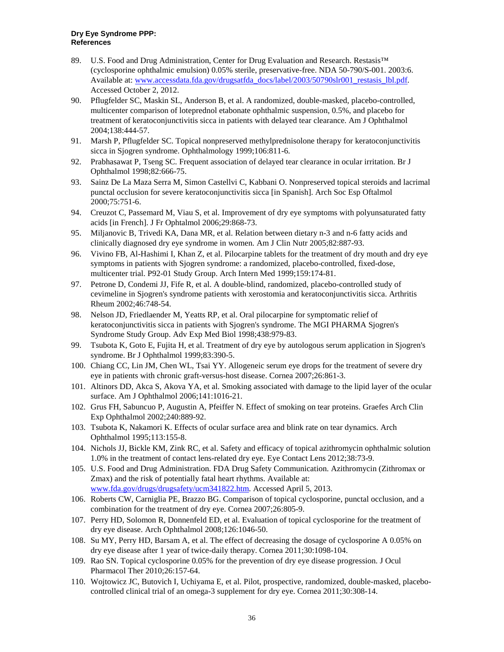- <span id="page-39-0"></span>89. U.S. Food and Drug Administration, Center for Drug Evaluation and Research. Restasis™ (cyclosporine ophthalmic emulsion) 0.05% sterile, preservative-free. NDA 50-790/S-001. 2003:6. Available at: [www.accessdata.fda.gov/drugsatfda\\_docs/label/2003/50790slr001\\_restasis\\_lbl.pdf.](http://www.accessdata.fda.gov/drugsatfda_docs/label/2003/50790slr001_restasis_lbl.pdf) Accessed October 2, 2012.
- <span id="page-39-1"></span>90. Pflugfelder SC, Maskin SL, Anderson B, et al. A randomized, double-masked, placebo-controlled, multicenter comparison of loteprednol etabonate ophthalmic suspension, 0.5%, and placebo for treatment of keratoconjunctivitis sicca in patients with delayed tear clearance. Am J Ophthalmol 2004;138:444-57.
- 91. Marsh P, Pflugfelder SC. Topical nonpreserved methylprednisolone therapy for keratoconjunctivitis sicca in Sjogren syndrome. Ophthalmology 1999;106:811-6.
- 92. Prabhasawat P, Tseng SC. Frequent association of delayed tear clearance in ocular irritation. Br J Ophthalmol 1998;82:666-75.
- <span id="page-39-16"></span>93. Sainz De La Maza Serra M, Simon Castellvi C, Kabbani O. Nonpreserved topical steroids and lacrimal punctal occlusion for severe keratoconjunctivitis sicca [in Spanish]. Arch Soc Esp Oftalmol 2000;75:751-6.
- <span id="page-39-2"></span>94. Creuzot C, Passemard M, Viau S, et al. Improvement of dry eye symptoms with polyunsaturated fatty acids [in French]. J Fr Ophtalmol 2006;29:868-73.
- <span id="page-39-3"></span>95. Miljanovic B, Trivedi KA, Dana MR, et al. Relation between dietary n-3 and n-6 fatty acids and clinically diagnosed dry eye syndrome in women. Am J Clin Nutr 2005;82:887-93.
- <span id="page-39-4"></span>96. Vivino FB, Al-Hashimi I, Khan Z, et al. Pilocarpine tablets for the treatment of dry mouth and dry eye symptoms in patients with Sjogren syndrome: a randomized, placebo-controlled, fixed-dose, multicenter trial. P92-01 Study Group. Arch Intern Med 1999;159:174-81.
- <span id="page-39-18"></span>97. Petrone D, Condemi JJ, Fife R, et al. A double-blind, randomized, placebo-controlled study of cevimeline in Sjogren's syndrome patients with xerostomia and keratoconjunctivitis sicca. Arthritis Rheum 2002;46:748-54.
- <span id="page-39-19"></span>98. Nelson JD, Friedlaender M, Yeatts RP, et al. Oral pilocarpine for symptomatic relief of keratoconjunctivitis sicca in patients with Sjogren's syndrome. The MGI PHARMA Sjogren's Syndrome Study Group. Adv Exp Med Biol 1998;438:979-83.
- <span id="page-39-5"></span>99. Tsubota K, Goto E, Fujita H, et al. Treatment of dry eye by autologous serum application in Sjogren's syndrome. Br J Ophthalmol 1999;83:390-5.
- <span id="page-39-6"></span>100. Chiang CC, Lin JM, Chen WL, Tsai YY. Allogeneic serum eye drops for the treatment of severe dry eye in patients with chronic graft-versus-host disease. Cornea 2007;26:861-3.
- <span id="page-39-7"></span>101. Altinors DD, Akca S, Akova YA, et al. Smoking associated with damage to the lipid layer of the ocular surface. Am J Ophthalmol 2006;141:1016-21.
- <span id="page-39-8"></span>102. Grus FH, Sabuncuo P, Augustin A, Pfeiffer N. Effect of smoking on tear proteins. Graefes Arch Clin Exp Ophthalmol 2002;240:889-92.
- <span id="page-39-9"></span>103. Tsubota K, Nakamori K. Effects of ocular surface area and blink rate on tear dynamics. Arch Ophthalmol 1995;113:155-8.
- <span id="page-39-10"></span>104. Nichols JJ, Bickle KM, Zink RC, et al. Safety and efficacy of topical azithromycin ophthalmic solution 1.0% in the treatment of contact lens-related dry eye. Eye Contact Lens 2012;38:73-9.
- <span id="page-39-11"></span>105. U.S. Food and Drug Administration. FDA Drug Safety Communication. Azithromycin (Zithromax or Zmax) and the risk of potentially fatal heart rhythms. Available at: [www.fda.gov/drugs/drugsafety/ucm341822.htm.](http://www.fda.gov/drugs/drugsafety/ucm341822.htm) Accessed April 5, 2013.
- <span id="page-39-12"></span>106. Roberts CW, Carniglia PE, Brazzo BG. Comparison of topical cyclosporine, punctal occlusion, and a combination for the treatment of dry eye. Cornea 2007;26:805-9.
- <span id="page-39-13"></span>107. Perry HD, Solomon R, Donnenfeld ED, et al. Evaluation of topical cyclosporine for the treatment of dry eye disease. Arch Ophthalmol 2008;126:1046-50.
- <span id="page-39-14"></span>108. Su MY, Perry HD, Barsam A, et al. The effect of decreasing the dosage of cyclosporine A 0.05% on dry eye disease after 1 year of twice-daily therapy. Cornea 2011;30:1098-104.
- <span id="page-39-15"></span>109. Rao SN. Topical cyclosporine 0.05% for the prevention of dry eye disease progression. J Ocul Pharmacol Ther 2010;26:157-64.
- <span id="page-39-17"></span>110. Wojtowicz JC, Butovich I, Uchiyama E, et al. Pilot, prospective, randomized, double-masked, placebocontrolled clinical trial of an omega-3 supplement for dry eye. Cornea 2011;30:308-14.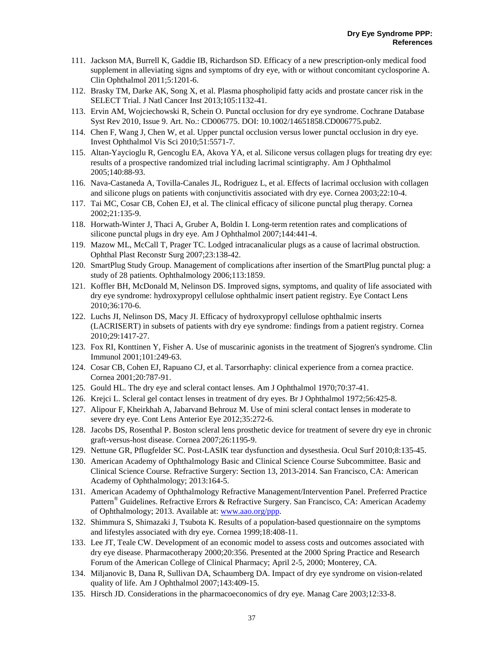- <span id="page-40-0"></span>111. Jackson MA, Burrell K, Gaddie IB, Richardson SD. Efficacy of a new prescription-only medical food supplement in alleviating signs and symptoms of dry eye, with or without concomitant cyclosporine A. Clin Ophthalmol 2011;5:1201-6.
- <span id="page-40-1"></span>112. Brasky TM, Darke AK, Song X, et al. Plasma phospholipid fatty acids and prostate cancer risk in the SELECT Trial. J Natl Cancer Inst 2013;105:1132-41.
- <span id="page-40-2"></span>113. Ervin AM, Wojciechowski R, Schein O. Punctal occlusion for dry eye syndrome. Cochrane Database Syst Rev 2010, Issue 9. Art. No.: CD006775. DOI: 10.1002/14651858.CD006775.pub2.
- <span id="page-40-3"></span>114. Chen F, Wang J, Chen W, et al. Upper punctal occlusion versus lower punctal occlusion in dry eye. Invest Ophthalmol Vis Sci 2010;51:5571-7.
- <span id="page-40-4"></span>115. Altan-Yaycioglu R, Gencoglu EA, Akova YA, et al. Silicone versus collagen plugs for treating dry eye: results of a prospective randomized trial including lacrimal scintigraphy. Am J Ophthalmol 2005;140:88-93.
- 116. Nava-Castaneda A, Tovilla-Canales JL, Rodriguez L, et al. Effects of lacrimal occlusion with collagen and silicone plugs on patients with conjunctivitis associated with dry eye. Cornea 2003;22:10-4.
- 117. Tai MC, Cosar CB, Cohen EJ, et al. The clinical efficacy of silicone punctal plug therapy. Cornea 2002;21:135-9.
- <span id="page-40-5"></span>118. Horwath-Winter J, Thaci A, Gruber A, Boldin I. Long-term retention rates and complications of silicone punctal plugs in dry eye. Am J Ophthalmol 2007;144:441-4.
- <span id="page-40-6"></span>119. Mazow ML, McCall T, Prager TC. Lodged intracanalicular plugs as a cause of lacrimal obstruction. Ophthal Plast Reconstr Surg 2007;23:138-42.
- <span id="page-40-7"></span>120. SmartPlug Study Group. Management of complications after insertion of the SmartPlug punctal plug: a study of 28 patients. Ophthalmology 2006;113:1859.
- <span id="page-40-8"></span>121. Koffler BH, McDonald M, Nelinson DS. Improved signs, symptoms, and quality of life associated with dry eye syndrome: hydroxypropyl cellulose ophthalmic insert patient registry. Eye Contact Lens 2010;36:170-6.
- <span id="page-40-9"></span>122. Luchs JI, Nelinson DS, Macy JI. Efficacy of hydroxypropyl cellulose ophthalmic inserts (LACRISERT) in subsets of patients with dry eye syndrome: findings from a patient registry. Cornea 2010;29:1417-27.
- <span id="page-40-10"></span>123. Fox RI, Konttinen Y, Fisher A. Use of muscarinic agonists in the treatment of Sjogren's syndrome. Clin Immunol 2001;101:249-63.
- <span id="page-40-11"></span>124. Cosar CB, Cohen EJ, Rapuano CJ, et al. Tarsorrhaphy: clinical experience from a cornea practice. Cornea 2001;20:787-91.
- <span id="page-40-12"></span>125. Gould HL. The dry eye and scleral contact lenses. Am J Ophthalmol 1970;70:37-41.
- 126. Krejci L. Scleral gel contact lenses in treatment of dry eyes. Br J Ophthalmol 1972;56:425-8.
- 127. Alipour F, Kheirkhah A, Jabarvand Behrouz M. Use of mini scleral contact lenses in moderate to severe dry eye. Cont Lens Anterior Eye 2012;35:272-6.
- <span id="page-40-13"></span>128. Jacobs DS, Rosenthal P. Boston scleral lens prosthetic device for treatment of severe dry eye in chronic graft-versus-host disease. Cornea 2007;26:1195-9.
- <span id="page-40-14"></span>129. Nettune GR, Pflugfelder SC. Post-LASIK tear dysfunction and dysesthesia. Ocul Surf 2010;8:135-45.
- <span id="page-40-15"></span>130. American Academy of Ophthalmology Basic and Clinical Science Course Subcommittee. Basic and Clinical Science Course. Refractive Surgery: Section 13, 2013-2014. San Francisco, CA: American Academy of Ophthalmology; 2013:164-5.
- <span id="page-40-16"></span>131. American Academy of Ophthalmology Refractive Management/Intervention Panel. Preferred Practice Pattern® Guidelines. Refractive Errors & Refractive Surgery. San Francisco, CA: American Academy of Ophthalmology; 2013. Available at: [www.aao.org/ppp.](http://www.aao.org/ppp)
- <span id="page-40-17"></span>132. Shimmura S, Shimazaki J, Tsubota K. Results of a population-based questionnaire on the symptoms and lifestyles associated with dry eye. Cornea 1999;18:408-11.
- <span id="page-40-18"></span>133. Lee JT, Teale CW. Development of an economic model to assess costs and outcomes associated with dry eye disease. Pharmacotherapy 2000;20:356. Presented at the 2000 Spring Practice and Research Forum of the American College of Clinical Pharmacy; April 2-5, 2000; Monterey, CA.
- <span id="page-40-19"></span>134. Miljanovic B, Dana R, Sullivan DA, Schaumberg DA. Impact of dry eye syndrome on vision-related quality of life. Am J Ophthalmol 2007;143:409-15.
- <span id="page-40-20"></span>135. Hirsch JD. Considerations in the pharmacoeconomics of dry eye. Manag Care 2003;12:33-8.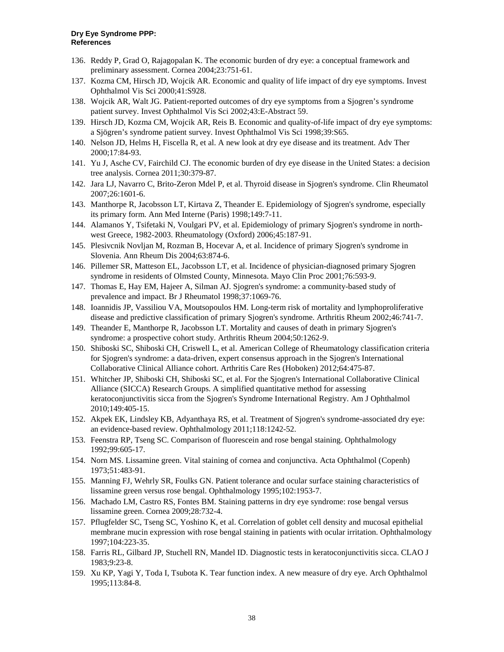- <span id="page-41-0"></span>136. Reddy P, Grad O, Rajagopalan K. The economic burden of dry eye: a conceptual framework and preliminary assessment. Cornea 2004;23:751-61.
- <span id="page-41-1"></span>137. Kozma CM, Hirsch JD, Wojcik AR. Economic and quality of life impact of dry eye symptoms. Invest Ophthalmol Vis Sci 2000;41:S928.
- 138. Wojcik AR, Walt JG. Patient-reported outcomes of dry eye symptoms from a Sjogren's syndrome patient survey. Invest Ophthalmol Vis Sci 2002;43:E-Abstract 59.
- <span id="page-41-2"></span>139. Hirsch JD, Kozma CM, Wojcik AR, Reis B. Economic and quality-of-life impact of dry eye symptoms: a Sjögren's syndrome patient survey. Invest Ophthalmol Vis Sci 1998;39:S65.
- <span id="page-41-3"></span>140. Nelson JD, Helms H, Fiscella R, et al. A new look at dry eye disease and its treatment. Adv Ther 2000;17:84-93.
- <span id="page-41-4"></span>141. Yu J, Asche CV, Fairchild CJ. The economic burden of dry eye disease in the United States: a decision tree analysis. Cornea 2011;30:379-87.
- <span id="page-41-5"></span>142. Jara LJ, Navarro C, Brito-Zeron Mdel P, et al. Thyroid disease in Sjogren's syndrome. Clin Rheumatol 2007;26:1601-6.
- <span id="page-41-6"></span>143. Manthorpe R, Jacobsson LT, Kirtava Z, Theander E. Epidemiology of Sjogren's syndrome, especially its primary form. Ann Med Interne (Paris) 1998;149:7-11.
- <span id="page-41-7"></span>144. Alamanos Y, Tsifetaki N, Voulgari PV, et al. Epidemiology of primary Sjogren's syndrome in northwest Greece, 1982-2003. Rheumatology (Oxford) 2006;45:187-91.
- <span id="page-41-8"></span>145. Plesivcnik Novljan M, Rozman B, Hocevar A, et al. Incidence of primary Sjogren's syndrome in Slovenia. Ann Rheum Dis 2004;63:874-6.
- <span id="page-41-9"></span>146. Pillemer SR, Matteson EL, Jacobsson LT, et al. Incidence of physician-diagnosed primary Sjogren syndrome in residents of Olmsted County, Minnesota. Mayo Clin Proc 2001;76:593-9.
- <span id="page-41-10"></span>147. Thomas E, Hay EM, Hajeer A, Silman AJ. Sjogren's syndrome: a community-based study of prevalence and impact. Br J Rheumatol 1998;37:1069-76.
- <span id="page-41-11"></span>148. Ioannidis JP, Vassiliou VA, Moutsopoulos HM. Long-term risk of mortality and lymphoproliferative disease and predictive classification of primary Sjogren's syndrome. Arthritis Rheum 2002;46:741-7.
- <span id="page-41-12"></span>149. Theander E, Manthorpe R, Jacobsson LT. Mortality and causes of death in primary Sjogren's syndrome: a prospective cohort study. Arthritis Rheum 2004;50:1262-9.
- <span id="page-41-13"></span>150. Shiboski SC, Shiboski CH, Criswell L, et al. American College of Rheumatology classification criteria for Sjogren's syndrome: a data-driven, expert consensus approach in the Sjogren's International Collaborative Clinical Alliance cohort. Arthritis Care Res (Hoboken) 2012;64:475-87.
- <span id="page-41-14"></span>151. Whitcher JP, Shiboski CH, Shiboski SC, et al. For the Sjogren's International Collaborative Clinical Alliance (SICCA) Research Groups. A simplified quantitative method for assessing keratoconjunctivitis sicca from the Sjogren's Syndrome International Registry. Am J Ophthalmol 2010;149:405-15.
- <span id="page-41-15"></span>152. Akpek EK, Lindsley KB, Adyanthaya RS, et al. Treatment of Sjogren's syndrome-associated dry eye: an evidence-based review. Ophthalmology 2011;118:1242-52.
- <span id="page-41-16"></span>153. Feenstra RP, Tseng SC. Comparison of fluorescein and rose bengal staining. Ophthalmology 1992;99:605-17.
- <span id="page-41-17"></span>154. Norn MS. Lissamine green. Vital staining of cornea and conjunctiva. Acta Ophthalmol (Copenh) 1973;51:483-91.
- <span id="page-41-18"></span>155. Manning FJ, Wehrly SR, Foulks GN. Patient tolerance and ocular surface staining characteristics of lissamine green versus rose bengal. Ophthalmology 1995;102:1953-7.
- <span id="page-41-19"></span>156. Machado LM, Castro RS, Fontes BM. Staining patterns in dry eye syndrome: rose bengal versus lissamine green. Cornea 2009;28:732-4.
- <span id="page-41-20"></span>157. Pflugfelder SC, Tseng SC, Yoshino K, et al. Correlation of goblet cell density and mucosal epithelial membrane mucin expression with rose bengal staining in patients with ocular irritation. Ophthalmology 1997;104:223-35.
- <span id="page-41-21"></span>158. Farris RL, Gilbard JP, Stuchell RN, Mandel ID. Diagnostic tests in keratoconjunctivitis sicca. CLAO J 1983;9:23-8.
- <span id="page-41-22"></span>159. Xu KP, Yagi Y, Toda I, Tsubota K. Tear function index. A new measure of dry eye. Arch Ophthalmol 1995;113:84-8.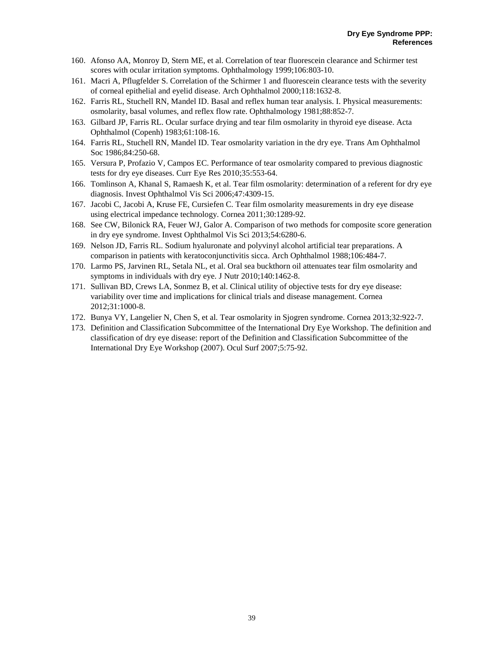- <span id="page-42-0"></span>160. Afonso AA, Monroy D, Stern ME, et al. Correlation of tear fluorescein clearance and Schirmer test scores with ocular irritation symptoms. Ophthalmology 1999;106:803-10.
- <span id="page-42-1"></span>161. Macri A, Pflugfelder S. Correlation of the Schirmer 1 and fluorescein clearance tests with the severity of corneal epithelial and eyelid disease. Arch Ophthalmol 2000;118:1632-8.
- <span id="page-42-2"></span>162. Farris RL, Stuchell RN, Mandel ID. Basal and reflex human tear analysis. I. Physical measurements: osmolarity, basal volumes, and reflex flow rate. Ophthalmology 1981;88:852-7.
- 163. Gilbard JP, Farris RL. Ocular surface drying and tear film osmolarity in thyroid eye disease. Acta Ophthalmol (Copenh) 1983;61:108-16.
- 164. Farris RL, Stuchell RN, Mandel ID. Tear osmolarity variation in the dry eye. Trans Am Ophthalmol Soc 1986;84:250-68.
- <span id="page-42-3"></span>165. Versura P, Profazio V, Campos EC. Performance of tear osmolarity compared to previous diagnostic tests for dry eye diseases. Curr Eye Res 2010;35:553-64.
- 166. Tomlinson A, Khanal S, Ramaesh K, et al. Tear film osmolarity: determination of a referent for dry eye diagnosis. Invest Ophthalmol Vis Sci 2006;47:4309-15.
- 167. Jacobi C, Jacobi A, Kruse FE, Cursiefen C. Tear film osmolarity measurements in dry eye disease using electrical impedance technology. Cornea 2011;30:1289-92.
- 168. See CW, Bilonick RA, Feuer WJ, Galor A. Comparison of two methods for composite score generation in dry eye syndrome. Invest Ophthalmol Vis Sci 2013;54:6280-6.
- <span id="page-42-4"></span>169. Nelson JD, Farris RL. Sodium hyaluronate and polyvinyl alcohol artificial tear preparations. A comparison in patients with keratoconjunctivitis sicca. Arch Ophthalmol 1988;106:484-7.
- 170. Larmo PS, Jarvinen RL, Setala NL, et al. Oral sea buckthorn oil attenuates tear film osmolarity and symptoms in individuals with dry eye. J Nutr 2010;140:1462-8.
- 171. Sullivan BD, Crews LA, Sonmez B, et al. Clinical utility of objective tests for dry eye disease: variability over time and implications for clinical trials and disease management. Cornea 2012;31:1000-8.
- <span id="page-42-5"></span>172. Bunya VY, Langelier N, Chen S, et al. Tear osmolarity in Sjogren syndrome. Cornea 2013;32:922-7.
- <span id="page-42-6"></span>173. Definition and Classification Subcommittee of the International Dry Eye Workshop. The definition and classification of dry eye disease: report of the Definition and Classification Subcommittee of the International Dry Eye Workshop (2007). Ocul Surf 2007;5:75-92.